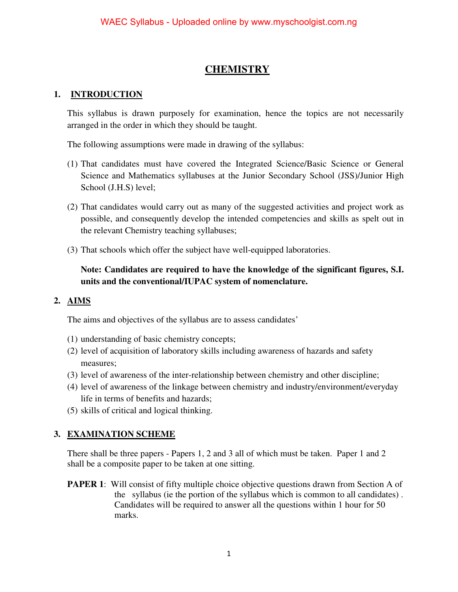#### **CHEMISTRY**

#### **1. INTRODUCTION**

This syllabus is drawn purposely for examination, hence the topics are not necessarily arranged in the order in which they should be taught.

The following assumptions were made in drawing of the syllabus:

- (1) That candidates must have covered the Integrated Science/Basic Science or General Science and Mathematics syllabuses at the Junior Secondary School (JSS)/Junior High School (J.H.S) level;
- (2) That candidates would carry out as many of the suggested activities and project work as possible, and consequently develop the intended competencies and skills as spelt out in the relevant Chemistry teaching syllabuses;
- (3) That schools which offer the subject have well-equipped laboratories.

**Note: Candidates are required to have the knowledge of the significant figures, S.I. units and the conventional/IUPAC system of nomenclature.** 

#### **2. AIMS**

The aims and objectives of the syllabus are to assess candidates'

- (1) understanding of basic chemistry concepts;
- (2) level of acquisition of laboratory skills including awareness of hazards and safety measures;
- (3) level of awareness of the inter-relationship between chemistry and other discipline;
- (4) level of awareness of the linkage between chemistry and industry/environment/everyday life in terms of benefits and hazards;
- (5) skills of critical and logical thinking.

#### **3. EXAMINATION SCHEME**

There shall be three papers - Papers 1, 2 and 3 all of which must be taken. Paper 1 and 2 shall be a composite paper to be taken at one sitting.

**PAPER 1:** Will consist of fifty multiple choice objective questions drawn from Section A of the syllabus (ie the portion of the syllabus which is common to all candidates) . Candidates will be required to answer all the questions within 1 hour for 50 marks.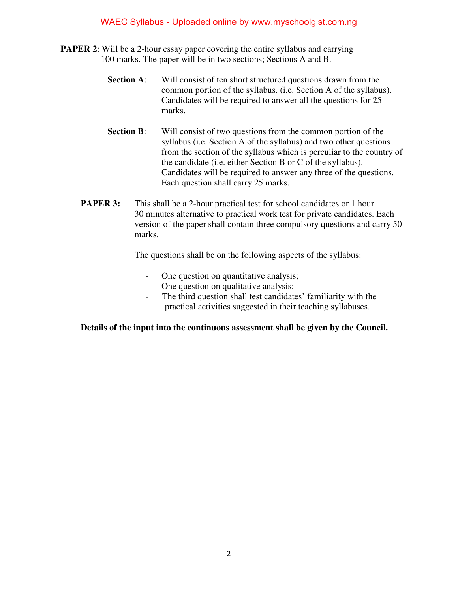- **PAPER 2**: Will be a 2-hour essay paper covering the entire syllabus and carrying 100 marks. The paper will be in two sections; Sections A and B.
	- **Section A:** Will consist of ten short structured questions drawn from the common portion of the syllabus. (i.e. Section A of the syllabus). Candidates will be required to answer all the questions for 25 marks.
	- **Section B:** Will consist of two questions from the common portion of the syllabus (i.e. Section A of the syllabus) and two other questions from the section of the syllabus which is perculiar to the country of the candidate (i.e. either Section B or C of the syllabus). Candidates will be required to answer any three of the questions. Each question shall carry 25 marks.
	- **PAPER 3:** This shall be a 2-hour practical test for school candidates or 1 hour 30 minutes alternative to practical work test for private candidates. Each version of the paper shall contain three compulsory questions and carry 50 marks.

The questions shall be on the following aspects of the syllabus:

- One question on quantitative analysis;
- One question on qualitative analysis;
- The third question shall test candidates' familiarity with the practical activities suggested in their teaching syllabuses.

**Details of the input into the continuous assessment shall be given by the Council.**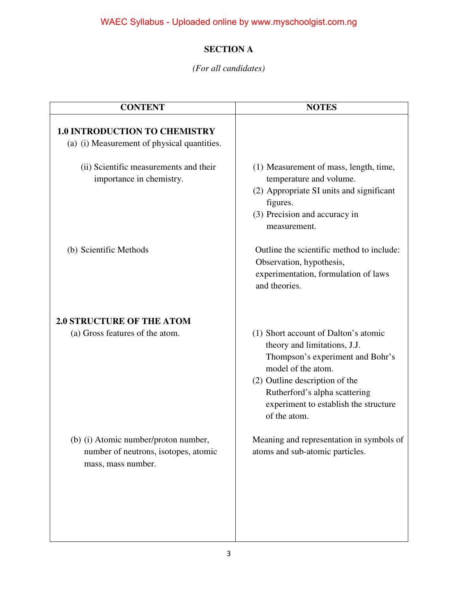#### **SECTION A**

#### *(For all candidates)*

| <b>CONTENT</b>                                                                                     | <b>NOTES</b>                                                                                                                                                                                                                                               |
|----------------------------------------------------------------------------------------------------|------------------------------------------------------------------------------------------------------------------------------------------------------------------------------------------------------------------------------------------------------------|
| <b>1.0 INTRODUCTION TO CHEMISTRY</b><br>(a) (i) Measurement of physical quantities.                |                                                                                                                                                                                                                                                            |
| (ii) Scientific measurements and their<br>importance in chemistry.                                 | (1) Measurement of mass, length, time,<br>temperature and volume.<br>(2) Appropriate SI units and significant<br>figures.<br>(3) Precision and accuracy in<br>measurement.                                                                                 |
| (b) Scientific Methods                                                                             | Outline the scientific method to include:<br>Observation, hypothesis,<br>experimentation, formulation of laws<br>and theories.                                                                                                                             |
| <b>2.0 STRUCTURE OF THE ATOM</b>                                                                   |                                                                                                                                                                                                                                                            |
| (a) Gross features of the atom.                                                                    | (1) Short account of Dalton's atomic<br>theory and limitations, J.J.<br>Thompson's experiment and Bohr's<br>model of the atom.<br>(2) Outline description of the<br>Rutherford's alpha scattering<br>experiment to establish the structure<br>of the atom. |
| (b) (i) Atomic number/proton number,<br>number of neutrons, isotopes, atomic<br>mass, mass number. | Meaning and representation in symbols of<br>atoms and sub-atomic particles.                                                                                                                                                                                |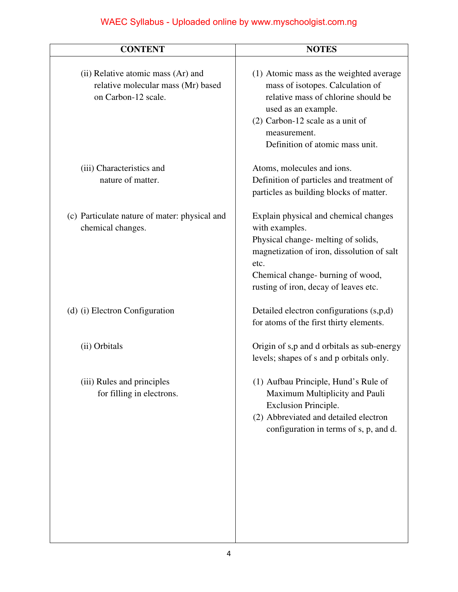| <b>CONTENT</b>                                                                                  | <b>NOTES</b>                                                                                                                                                                                                                       |
|-------------------------------------------------------------------------------------------------|------------------------------------------------------------------------------------------------------------------------------------------------------------------------------------------------------------------------------------|
| (ii) Relative atomic mass (Ar) and<br>relative molecular mass (Mr) based<br>on Carbon-12 scale. | (1) Atomic mass as the weighted average<br>mass of isotopes. Calculation of<br>relative mass of chlorine should be<br>used as an example.<br>$(2)$ Carbon-12 scale as a unit of<br>measurement.<br>Definition of atomic mass unit. |
| (iii) Characteristics and<br>nature of matter.                                                  | Atoms, molecules and ions.<br>Definition of particles and treatment of<br>particles as building blocks of matter.                                                                                                                  |
| (c) Particulate nature of mater: physical and<br>chemical changes.                              | Explain physical and chemical changes<br>with examples.<br>Physical change- melting of solids,<br>magnetization of iron, dissolution of salt<br>etc.<br>Chemical change- burning of wood,<br>rusting of iron, decay of leaves etc. |
| (d) (i) Electron Configuration                                                                  | Detailed electron configurations (s,p,d)<br>for atoms of the first thirty elements.                                                                                                                                                |
| (ii) Orbitals                                                                                   | Origin of s,p and d orbitals as sub-energy<br>levels; shapes of s and p orbitals only.                                                                                                                                             |
| (iii) Rules and principles<br>for filling in electrons.                                         | (1) Aufbau Principle, Hund's Rule of<br>Maximum Multiplicity and Pauli<br>Exclusion Principle.<br>(2) Abbreviated and detailed electron<br>configuration in terms of s, p, and d.                                                  |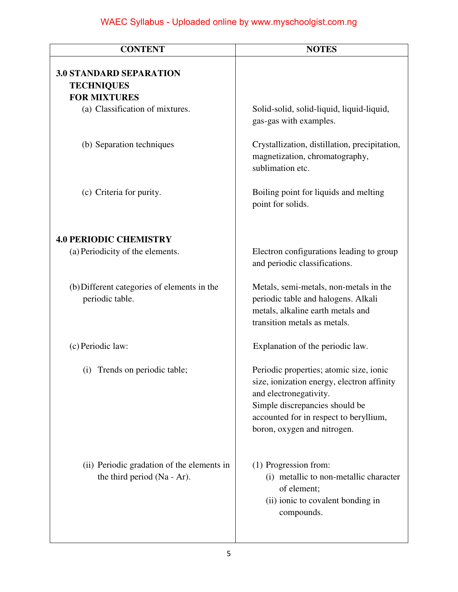| <b>CONTENT</b>                                                             | <b>NOTES</b>                                                                                                                                                                                                               |
|----------------------------------------------------------------------------|----------------------------------------------------------------------------------------------------------------------------------------------------------------------------------------------------------------------------|
| <b>3.0 STANDARD SEPARATION</b><br><b>TECHNIQUES</b><br><b>FOR MIXTURES</b> |                                                                                                                                                                                                                            |
| (a) Classification of mixtures.                                            | Solid-solid, solid-liquid, liquid-liquid,<br>gas-gas with examples.                                                                                                                                                        |
| (b) Separation techniques                                                  | Crystallization, distillation, precipitation,<br>magnetization, chromatography,<br>sublimation etc.                                                                                                                        |
| (c) Criteria for purity.                                                   | Boiling point for liquids and melting<br>point for solids.                                                                                                                                                                 |
| <b>4.0 PERIODIC CHEMISTRY</b>                                              |                                                                                                                                                                                                                            |
| (a) Periodicity of the elements.                                           | Electron configurations leading to group<br>and periodic classifications.                                                                                                                                                  |
| (b) Different categories of elements in the<br>periodic table.             | Metals, semi-metals, non-metals in the<br>periodic table and halogens. Alkali<br>metals, alkaline earth metals and<br>transition metals as metals.                                                                         |
| (c) Periodic law:                                                          | Explanation of the periodic law.                                                                                                                                                                                           |
| (i) Trends on periodic table;                                              | Periodic properties; atomic size, ionic<br>size, ionization energy, electron affinity<br>and electronegativity.<br>Simple discrepancies should be<br>accounted for in respect to beryllium,<br>boron, oxygen and nitrogen. |
| (ii) Periodic gradation of the elements in<br>the third period (Na - Ar).  | (1) Progression from:<br>(i) metallic to non-metallic character<br>of element;<br>(ii) ionic to covalent bonding in<br>compounds.                                                                                          |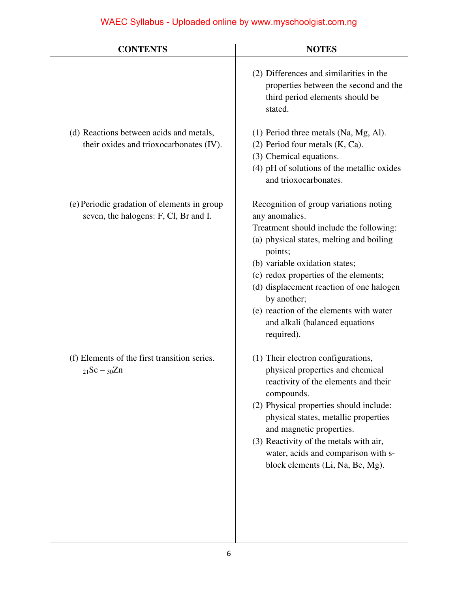| <b>CONTENTS</b>                                                                      | <b>NOTES</b>                                                                                                                                                                                                                                                                                                                                                                                |
|--------------------------------------------------------------------------------------|---------------------------------------------------------------------------------------------------------------------------------------------------------------------------------------------------------------------------------------------------------------------------------------------------------------------------------------------------------------------------------------------|
|                                                                                      | (2) Differences and similarities in the<br>properties between the second and the<br>third period elements should be<br>stated.                                                                                                                                                                                                                                                              |
| (d) Reactions between acids and metals,<br>their oxides and trioxocarbonates (IV).   | (1) Period three metals (Na, Mg, Al).<br>$(2)$ Period four metals $(K, Ca)$ .<br>(3) Chemical equations.<br>(4) pH of solutions of the metallic oxides<br>and trioxocarbonates.                                                                                                                                                                                                             |
| (e) Periodic gradation of elements in group<br>seven, the halogens: F, Cl, Br and I. | Recognition of group variations noting<br>any anomalies.<br>Treatment should include the following:<br>(a) physical states, melting and boiling<br>points;<br>(b) variable oxidation states;<br>(c) redox properties of the elements;<br>(d) displacement reaction of one halogen<br>by another;<br>(e) reaction of the elements with water<br>and alkali (balanced equations<br>required). |
| (f) Elements of the first transition series.<br>$_{21}Sc - _{30}Zn$                  | (1) Their electron configurations,<br>physical properties and chemical<br>reactivity of the elements and their<br>compounds.<br>(2) Physical properties should include:<br>physical states, metallic properties<br>and magnetic properties.<br>(3) Reactivity of the metals with air,<br>water, acids and comparison with s-<br>block elements (Li, Na, Be, Mg).                            |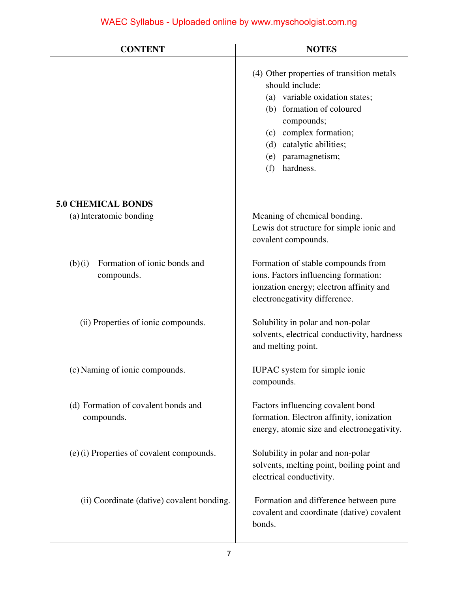| <b>CONTENT</b>                                       | <b>NOTES</b>                                                                                                                                                                                                                              |
|------------------------------------------------------|-------------------------------------------------------------------------------------------------------------------------------------------------------------------------------------------------------------------------------------------|
|                                                      | (4) Other properties of transition metals<br>should include:<br>(a) variable oxidation states;<br>(b) formation of coloured<br>compounds;<br>(c) complex formation;<br>(d) catalytic abilities;<br>(e) paramagnetism;<br>hardness.<br>(f) |
| <b>5.0 CHEMICAL BONDS</b>                            |                                                                                                                                                                                                                                           |
| (a) Interatomic bonding                              | Meaning of chemical bonding.<br>Lewis dot structure for simple ionic and<br>covalent compounds.                                                                                                                                           |
| Formation of ionic bonds and<br>(b)(i)<br>compounds. | Formation of stable compounds from<br>ions. Factors influencing formation:<br>ionzation energy; electron affinity and<br>electronegativity difference.                                                                                    |
| (ii) Properties of ionic compounds.                  | Solubility in polar and non-polar<br>solvents, electrical conductivity, hardness<br>and melting point.                                                                                                                                    |
| (c) Naming of ionic compounds.                       | <b>IUPAC</b> system for simple ionic<br>compounds.                                                                                                                                                                                        |
| (d) Formation of covalent bonds and<br>compounds.    | Factors influencing covalent bond<br>formation. Electron affinity, ionization<br>energy, atomic size and electronegativity.                                                                                                               |
| (e) (i) Properties of covalent compounds.            | Solubility in polar and non-polar<br>solvents, melting point, boiling point and<br>electrical conductivity.                                                                                                                               |
| (ii) Coordinate (dative) covalent bonding.           | Formation and difference between pure<br>covalent and coordinate (dative) covalent<br>bonds.                                                                                                                                              |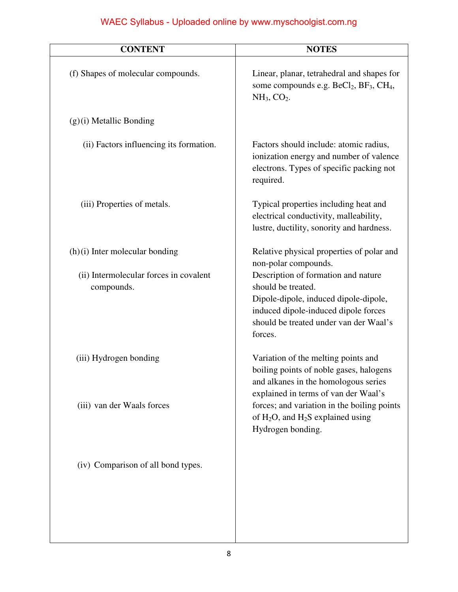| <b>CONTENT</b>                                       | <b>NOTES</b>                                                                                                                                                                                    |
|------------------------------------------------------|-------------------------------------------------------------------------------------------------------------------------------------------------------------------------------------------------|
| (f) Shapes of molecular compounds.                   | Linear, planar, tetrahedral and shapes for<br>some compounds e.g. BeCl <sub>2</sub> , BF <sub>3</sub> , CH <sub>4</sub> ,<br>$NH3, CO2$ .                                                       |
| $(g)(i)$ Metallic Bonding                            |                                                                                                                                                                                                 |
| (ii) Factors influencing its formation.              | Factors should include: atomic radius,<br>ionization energy and number of valence<br>electrons. Types of specific packing not<br>required.                                                      |
| (iii) Properties of metals.                          | Typical properties including heat and<br>electrical conductivity, malleability,<br>lustre, ductility, sonority and hardness.                                                                    |
| $(h)(i)$ Inter molecular bonding                     | Relative physical properties of polar and<br>non-polar compounds.                                                                                                                               |
| (ii) Intermolecular forces in covalent<br>compounds. | Description of formation and nature<br>should be treated.<br>Dipole-dipole, induced dipole-dipole,<br>induced dipole-induced dipole forces<br>should be treated under van der Waal's<br>forces. |
| (iii) Hydrogen bonding                               | Variation of the melting points and<br>boiling points of noble gases, halogens<br>and alkanes in the homologous series<br>explained in terms of van der Waal's                                  |
| (iii) van der Waals forces                           | forces; and variation in the boiling points<br>of $H_2O$ , and $H_2S$ explained using<br>Hydrogen bonding.                                                                                      |
| (iv) Comparison of all bond types.                   |                                                                                                                                                                                                 |
|                                                      |                                                                                                                                                                                                 |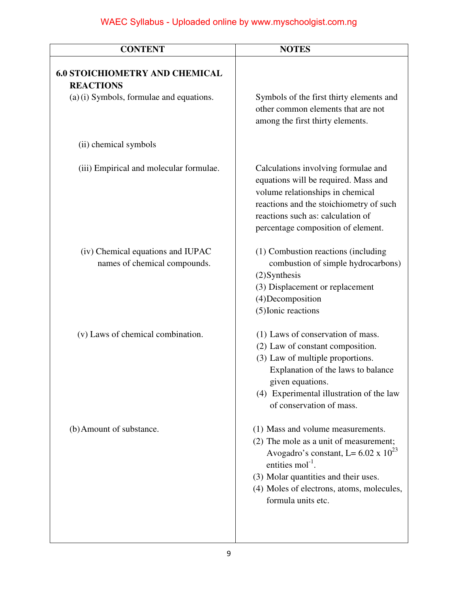| <b>CONTENT</b>                                                    | <b>NOTES</b>                                                                                                                                                                                                                                                            |
|-------------------------------------------------------------------|-------------------------------------------------------------------------------------------------------------------------------------------------------------------------------------------------------------------------------------------------------------------------|
| <b>6.0 STOICHIOMETRY AND CHEMICAL</b><br><b>REACTIONS</b>         |                                                                                                                                                                                                                                                                         |
| (a) (i) Symbols, formulae and equations.                          | Symbols of the first thirty elements and<br>other common elements that are not<br>among the first thirty elements.                                                                                                                                                      |
| (ii) chemical symbols                                             |                                                                                                                                                                                                                                                                         |
| (iii) Empirical and molecular formulae.                           | Calculations involving formulae and<br>equations will be required. Mass and<br>volume relationships in chemical<br>reactions and the stoichiometry of such<br>reactions such as: calculation of<br>percentage composition of element.                                   |
| (iv) Chemical equations and IUPAC<br>names of chemical compounds. | (1) Combustion reactions (including<br>combustion of simple hydrocarbons)<br>$(2)$ Synthesis<br>(3) Displacement or replacement<br>(4) Decomposition<br>(5) Ionic reactions                                                                                             |
| (v) Laws of chemical combination.                                 | (1) Laws of conservation of mass.<br>(2) Law of constant composition.<br>(3) Law of multiple proportions.<br>Explanation of the laws to balance<br>given equations.<br>(4) Experimental illustration of the law<br>of conservation of mass.                             |
| (b) Amount of substance.                                          | (1) Mass and volume measurements.<br>(2) The mole as a unit of measurement;<br>Avogadro's constant, L= $6.02 \times 10^{23}$<br>entities mol <sup>-1</sup> .<br>(3) Molar quantities and their uses.<br>(4) Moles of electrons, atoms, molecules,<br>formula units etc. |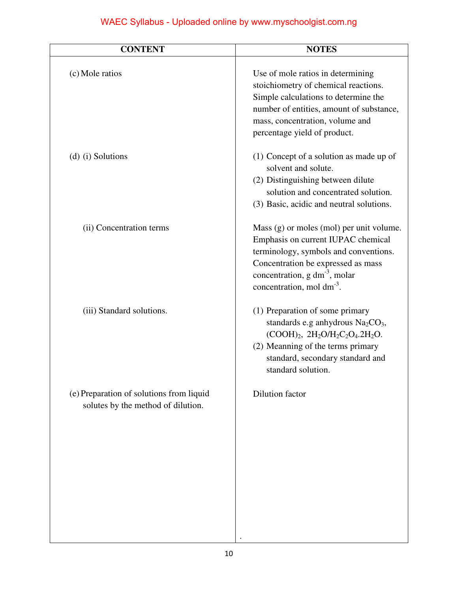| <b>CONTENT</b>                                                                 | <b>NOTES</b>                                                                                                                                                                                                                          |
|--------------------------------------------------------------------------------|---------------------------------------------------------------------------------------------------------------------------------------------------------------------------------------------------------------------------------------|
| (c) Mole ratios                                                                | Use of mole ratios in determining<br>stoichiometry of chemical reactions.<br>Simple calculations to determine the<br>number of entities, amount of substance,<br>mass, concentration, volume and<br>percentage yield of product.      |
| (d) (i) Solutions                                                              | $(1)$ Concept of a solution as made up of<br>solvent and solute.<br>(2) Distinguishing between dilute<br>solution and concentrated solution.<br>(3) Basic, acidic and neutral solutions.                                              |
| (ii) Concentration terms                                                       | Mass (g) or moles (mol) per unit volume.<br>Emphasis on current IUPAC chemical<br>terminology, symbols and conventions.<br>Concentration be expressed as mass<br>concentration, $g dm^{-3}$ , molar<br>concentration, mol $dm^{-3}$ . |
| (iii) Standard solutions.                                                      | (1) Preparation of some primary<br>standards e.g anhydrous $Na2CO3$ ,<br>$(COOH)_2$ , $2H_2O/H_2C_2O_4.2H_2O.$<br>(2) Meanning of the terms primary<br>standard, secondary standard and<br>standard solution.                         |
| (e) Preparation of solutions from liquid<br>solutes by the method of dilution. | Dilution factor                                                                                                                                                                                                                       |

.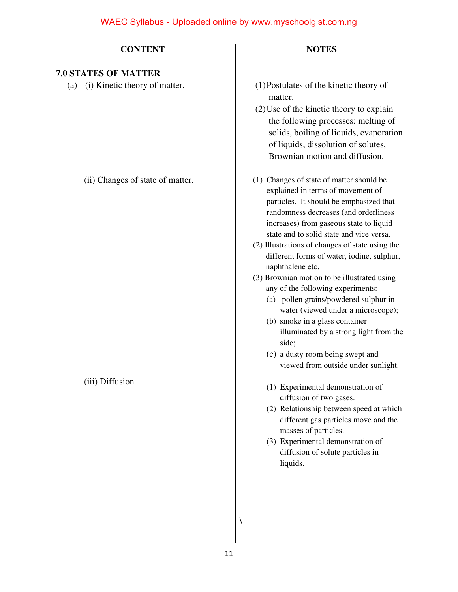| <b>CONTENT</b>                       | <b>NOTES</b>                                                                                                                                                                                                                                                                                                                                                                                                                                                                                                                                                                                                                                                                                                     |
|--------------------------------------|------------------------------------------------------------------------------------------------------------------------------------------------------------------------------------------------------------------------------------------------------------------------------------------------------------------------------------------------------------------------------------------------------------------------------------------------------------------------------------------------------------------------------------------------------------------------------------------------------------------------------------------------------------------------------------------------------------------|
| <b>7.0 STATES OF MATTER</b>          |                                                                                                                                                                                                                                                                                                                                                                                                                                                                                                                                                                                                                                                                                                                  |
| (i) Kinetic theory of matter.<br>(a) | (1) Postulates of the kinetic theory of<br>matter.<br>$(2)$ Use of the kinetic theory to explain<br>the following processes: melting of<br>solids, boiling of liquids, evaporation<br>of liquids, dissolution of solutes,<br>Brownian motion and diffusion.                                                                                                                                                                                                                                                                                                                                                                                                                                                      |
| (ii) Changes of state of matter.     | (1) Changes of state of matter should be<br>explained in terms of movement of<br>particles. It should be emphasized that<br>randomness decreases (and orderliness<br>increases) from gaseous state to liquid<br>state and to solid state and vice versa.<br>(2) Illustrations of changes of state using the<br>different forms of water, iodine, sulphur,<br>naphthalene etc.<br>(3) Brownian motion to be illustrated using<br>any of the following experiments:<br>(a) pollen grains/powdered sulphur in<br>water (viewed under a microscope);<br>(b) smoke in a glass container<br>illuminated by a strong light from the<br>side;<br>(c) a dusty room being swept and<br>viewed from outside under sunlight. |
| (iii) Diffusion                      | (1) Experimental demonstration of<br>diffusion of two gases.<br>(2) Relationship between speed at which<br>different gas particles move and the<br>masses of particles.<br>(3) Experimental demonstration of<br>diffusion of solute particles in<br>liquids.                                                                                                                                                                                                                                                                                                                                                                                                                                                     |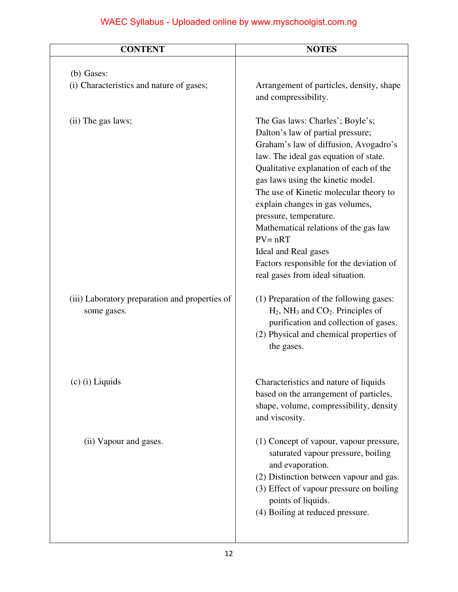| <b>CONTENT</b>                                                | <b>NOTES</b>                                                                                                                                                                                                                                                                                                                                                                                                                                                                                                 |
|---------------------------------------------------------------|--------------------------------------------------------------------------------------------------------------------------------------------------------------------------------------------------------------------------------------------------------------------------------------------------------------------------------------------------------------------------------------------------------------------------------------------------------------------------------------------------------------|
| (b) Gases:<br>(i) Characteristics and nature of gases;        | Arrangement of particles, density, shape                                                                                                                                                                                                                                                                                                                                                                                                                                                                     |
|                                                               | and compressibility.                                                                                                                                                                                                                                                                                                                                                                                                                                                                                         |
| (ii) The gas laws;                                            | The Gas laws: Charles'; Boyle's;<br>Dalton's law of partial pressure;<br>Graham's law of diffusion, Avogadro's<br>law. The ideal gas equation of state.<br>Qualitative explanation of each of the<br>gas laws using the kinetic model.<br>The use of Kinetic molecular theory to<br>explain changes in gas volumes,<br>pressure, temperature.<br>Mathematical relations of the gas law<br>$PV = nRT$<br>Ideal and Real gases<br>Factors responsible for the deviation of<br>real gases from ideal situation. |
| (iii) Laboratory preparation and properties of<br>some gases. | (1) Preparation of the following gases:<br>$H_2$ , NH <sub>3</sub> and CO <sub>2</sub> . Principles of<br>purification and collection of gases.<br>(2) Physical and chemical properties of<br>the gases.                                                                                                                                                                                                                                                                                                     |
| $(c)$ (i) Liquids                                             | Characteristics and nature of liquids<br>based on the arrangement of particles,<br>shape, volume, compressibility, density<br>and viscosity.                                                                                                                                                                                                                                                                                                                                                                 |
| (ii) Vapour and gases.                                        | (1) Concept of vapour, vapour pressure,<br>saturated vapour pressure, boiling<br>and evaporation.<br>(2) Distinction between vapour and gas.<br>(3) Effect of vapour pressure on boiling<br>points of liquids.<br>(4) Boiling at reduced pressure.                                                                                                                                                                                                                                                           |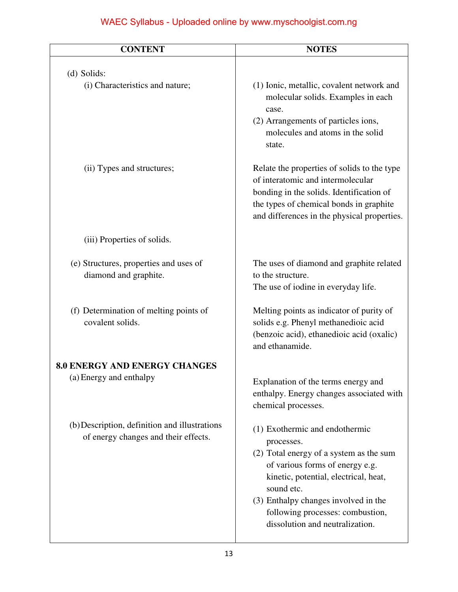| <b>CONTENT</b>                                                                        | <b>NOTES</b>                                                                                                                                                                                                           |
|---------------------------------------------------------------------------------------|------------------------------------------------------------------------------------------------------------------------------------------------------------------------------------------------------------------------|
| (d) Solids:                                                                           |                                                                                                                                                                                                                        |
| (i) Characteristics and nature;                                                       | (1) Ionic, metallic, covalent network and<br>molecular solids. Examples in each<br>case.                                                                                                                               |
|                                                                                       | (2) Arrangements of particles ions,<br>molecules and atoms in the solid<br>state.                                                                                                                                      |
| (ii) Types and structures;                                                            | Relate the properties of solids to the type<br>of interatomic and intermolecular<br>bonding in the solids. Identification of<br>the types of chemical bonds in graphite<br>and differences in the physical properties. |
| (iii) Properties of solids.                                                           |                                                                                                                                                                                                                        |
| (e) Structures, properties and uses of<br>diamond and graphite.                       | The uses of diamond and graphite related<br>to the structure.<br>The use of iodine in everyday life.                                                                                                                   |
| (f) Determination of melting points of<br>covalent solids.                            | Melting points as indicator of purity of<br>solids e.g. Phenyl methanedioic acid<br>(benzoic acid), ethanedioic acid (oxalic)<br>and ethanamide.                                                                       |
| <b>8.0 ENERGY AND ENERGY CHANGES</b>                                                  |                                                                                                                                                                                                                        |
| (a) Energy and enthalpy                                                               | Explanation of the terms energy and<br>enthalpy. Energy changes associated with<br>chemical processes.                                                                                                                 |
| (b) Description, definition and illustrations<br>of energy changes and their effects. | (1) Exothermic and endothermic<br>processes.<br>(2) Total energy of a system as the sum<br>of various forms of energy e.g.<br>kinetic, potential, electrical, heat,<br>sound etc.                                      |
|                                                                                       | (3) Enthalpy changes involved in the<br>following processes: combustion,<br>dissolution and neutralization.                                                                                                            |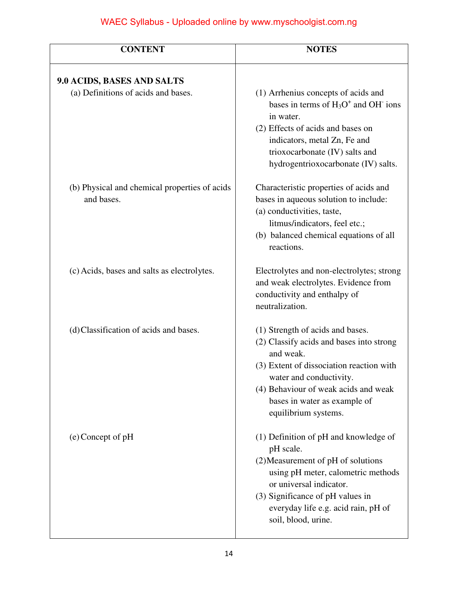| <b>CONTENT</b>                                              | <b>NOTES</b>                                                                                                                                                                                                                                                     |
|-------------------------------------------------------------|------------------------------------------------------------------------------------------------------------------------------------------------------------------------------------------------------------------------------------------------------------------|
| 9.0 ACIDS, BASES AND SALTS                                  |                                                                                                                                                                                                                                                                  |
| (a) Definitions of acids and bases.                         | (1) Arrhenius concepts of acids and<br>bases in terms of $H_3O^+$ and OH ions<br>in water.<br>(2) Effects of acids and bases on<br>indicators, metal Zn, Fe and<br>trioxocarbonate (IV) salts and<br>hydrogentrioxocarbonate (IV) salts.                         |
| (b) Physical and chemical properties of acids<br>and bases. | Characteristic properties of acids and<br>bases in aqueous solution to include:<br>(a) conductivities, taste,<br>litmus/indicators, feel etc.;<br>(b) balanced chemical equations of all<br>reactions.                                                           |
| (c) Acids, bases and salts as electrolytes.                 | Electrolytes and non-electrolytes; strong<br>and weak electrolytes. Evidence from<br>conductivity and enthalpy of<br>neutralization.                                                                                                                             |
| (d) Classification of acids and bases.                      | (1) Strength of acids and bases.<br>(2) Classify acids and bases into strong<br>and weak.<br>(3) Extent of dissociation reaction with<br>water and conductivity.<br>(4) Behaviour of weak acids and weak<br>bases in water as example of<br>equilibrium systems. |
| $(e)$ Concept of pH                                         | $(1)$ Definition of pH and knowledge of<br>pH scale.<br>(2) Measurement of pH of solutions<br>using pH meter, calometric methods<br>or universal indicator.<br>(3) Significance of pH values in<br>everyday life e.g. acid rain, pH of<br>soil, blood, urine.    |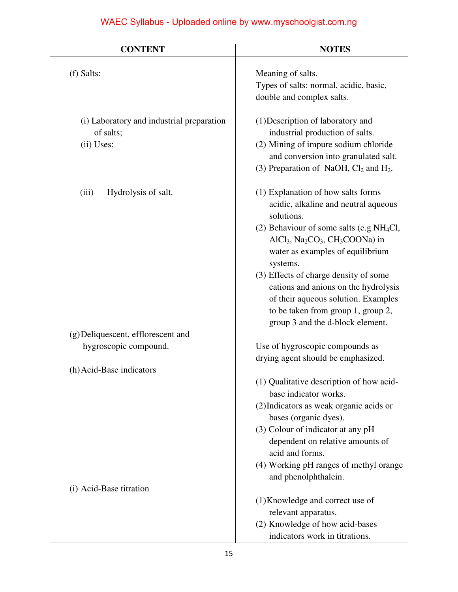| <b>CONTENT</b>                                                       | <b>NOTES</b>                                                                                                                                                                                                                                                                                                                                                                                                              |
|----------------------------------------------------------------------|---------------------------------------------------------------------------------------------------------------------------------------------------------------------------------------------------------------------------------------------------------------------------------------------------------------------------------------------------------------------------------------------------------------------------|
| $(f)$ Salts:                                                         | Meaning of salts.<br>Types of salts: normal, acidic, basic,<br>double and complex salts.                                                                                                                                                                                                                                                                                                                                  |
| (i) Laboratory and industrial preparation<br>of salts;<br>(ii) Uses; | (1) Description of laboratory and<br>industrial production of salts.<br>(2) Mining of impure sodium chloride<br>and conversion into granulated salt.<br>(3) Preparation of NaOH, $Cl_2$ and $H_2$ .                                                                                                                                                                                                                       |
| Hydrolysis of salt.<br>(iii)<br>(g) Deliquescent, efflorescent and   | (1) Explanation of how salts forms<br>acidic, alkaline and neutral aqueous<br>solutions.<br>(2) Behaviour of some salts (e.g $NH4Cl$ ,<br>$AICl3, Na2CO3, CH3COONa)$ in<br>water as examples of equilibrium<br>systems.<br>(3) Effects of charge density of some<br>cations and anions on the hydrolysis<br>of their aqueous solution. Examples<br>to be taken from group 1, group 2,<br>group 3 and the d-block element. |
| hygroscopic compound.                                                | Use of hygroscopic compounds as<br>drying agent should be emphasized.                                                                                                                                                                                                                                                                                                                                                     |
| (h) Acid-Base indicators                                             | (1) Qualitative description of how acid-<br>base indicator works.<br>(2) Indicators as weak organic acids or<br>bases (organic dyes).<br>(3) Colour of indicator at any pH<br>dependent on relative amounts of<br>acid and forms.                                                                                                                                                                                         |
| (i) Acid-Base titration                                              | (4) Working pH ranges of methyl orange<br>and phenolphthalein.                                                                                                                                                                                                                                                                                                                                                            |
|                                                                      | (1) Knowledge and correct use of<br>relevant apparatus.<br>(2) Knowledge of how acid-bases<br>indicators work in titrations.                                                                                                                                                                                                                                                                                              |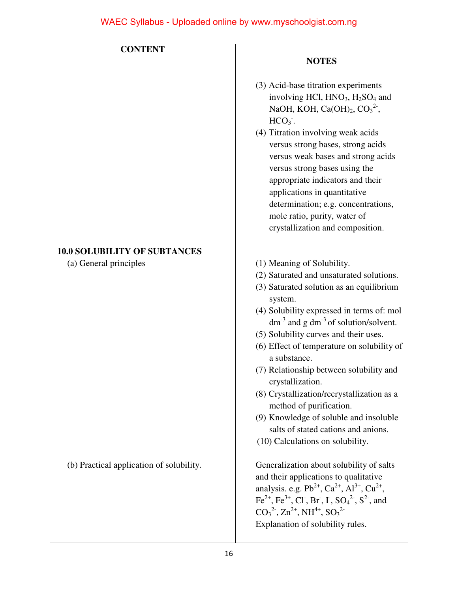| <b>CONTENT</b>                           |                                                                                                                                                                                                                                                                                                                                                                                                                                                                                                                                                                                                         |
|------------------------------------------|---------------------------------------------------------------------------------------------------------------------------------------------------------------------------------------------------------------------------------------------------------------------------------------------------------------------------------------------------------------------------------------------------------------------------------------------------------------------------------------------------------------------------------------------------------------------------------------------------------|
|                                          | <b>NOTES</b>                                                                                                                                                                                                                                                                                                                                                                                                                                                                                                                                                                                            |
|                                          | (3) Acid-base titration experiments<br>involving HCl, HNO <sub>3</sub> , H <sub>2</sub> SO <sub>4</sub> and<br>NaOH, KOH, Ca(OH) <sub>2</sub> , CO <sub>3</sub> <sup>2-</sup> ,                                                                                                                                                                                                                                                                                                                                                                                                                         |
|                                          | $HCO3$ .                                                                                                                                                                                                                                                                                                                                                                                                                                                                                                                                                                                                |
|                                          | (4) Titration involving weak acids<br>versus strong bases, strong acids<br>versus weak bases and strong acids<br>versus strong bases using the                                                                                                                                                                                                                                                                                                                                                                                                                                                          |
|                                          | appropriate indicators and their<br>applications in quantitative                                                                                                                                                                                                                                                                                                                                                                                                                                                                                                                                        |
|                                          | determination; e.g. concentrations,<br>mole ratio, purity, water of<br>crystallization and composition.                                                                                                                                                                                                                                                                                                                                                                                                                                                                                                 |
| <b>10.0 SOLUBILITY OF SUBTANCES</b>      |                                                                                                                                                                                                                                                                                                                                                                                                                                                                                                                                                                                                         |
| (a) General principles                   | (1) Meaning of Solubility.<br>(2) Saturated and unsaturated solutions.<br>(3) Saturated solution as an equilibrium<br>system.<br>(4) Solubility expressed in terms of: mol<br>$dm^{-3}$ and g dm <sup>-3</sup> of solution/solvent.<br>(5) Solubility curves and their uses.<br>(6) Effect of temperature on solubility of<br>a substance.<br>(7) Relationship between solubility and<br>crystallization.<br>(8) Crystallization/recrystallization as a<br>method of purification.<br>(9) Knowledge of soluble and insoluble<br>salts of stated cations and anions.<br>(10) Calculations on solubility. |
| (b) Practical application of solubility. | Generalization about solubility of salts<br>and their applications to qualitative<br>analysis. e.g. $Pb^{2+}$ , $Ca^{2+}$ , $Al^{3+}$ , $Cu^{2+}$ ,<br>Fe <sup>2+</sup> , Fe <sup>3+</sup> , Cl <sup>-</sup> , Br <sup>-</sup> , I <sup>-</sup> , SO <sub>4</sub> <sup>2-</sup> , S <sup>2-</sup> , and<br>$CO32$ , $Zn2+$ , NH <sup>4+</sup> , SO <sub>3</sub> <sup>2-</sup><br>Explanation of solubility rules.                                                                                                                                                                                       |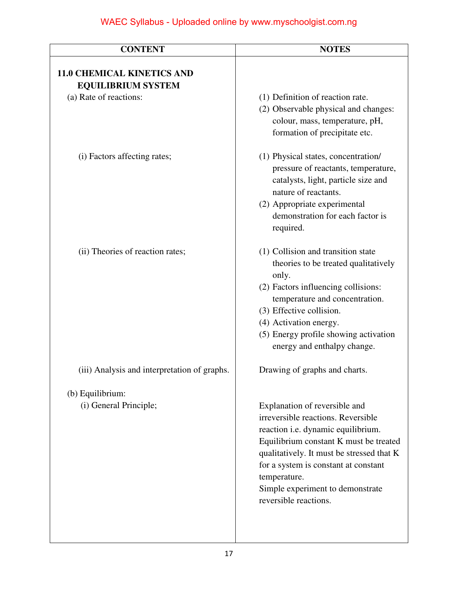| <b>CONTENT</b>                                                 | <b>NOTES</b>                                                                                                                                                                                                                                                                                                          |
|----------------------------------------------------------------|-----------------------------------------------------------------------------------------------------------------------------------------------------------------------------------------------------------------------------------------------------------------------------------------------------------------------|
| <b>11.0 CHEMICAL KINETICS AND</b><br><b>EQUILIBRIUM SYSTEM</b> |                                                                                                                                                                                                                                                                                                                       |
| (a) Rate of reactions:                                         | (1) Definition of reaction rate.<br>(2) Observable physical and changes:<br>colour, mass, temperature, pH,<br>formation of precipitate etc.                                                                                                                                                                           |
| (i) Factors affecting rates;                                   | (1) Physical states, concentration/<br>pressure of reactants, temperature,<br>catalysts, light, particle size and<br>nature of reactants.<br>(2) Appropriate experimental<br>demonstration for each factor is<br>required.                                                                                            |
| (ii) Theories of reaction rates;                               | (1) Collision and transition state<br>theories to be treated qualitatively<br>only.<br>(2) Factors influencing collisions:<br>temperature and concentration.<br>(3) Effective collision.<br>(4) Activation energy.<br>(5) Energy profile showing activation<br>energy and enthalpy change.                            |
| (iii) Analysis and interpretation of graphs.                   | Drawing of graphs and charts.                                                                                                                                                                                                                                                                                         |
| (b) Equilibrium:<br>(i) General Principle;                     | Explanation of reversible and<br>irreversible reactions. Reversible<br>reaction i.e. dynamic equilibrium.<br>Equilibrium constant K must be treated<br>qualitatively. It must be stressed that K<br>for a system is constant at constant<br>temperature.<br>Simple experiment to demonstrate<br>reversible reactions. |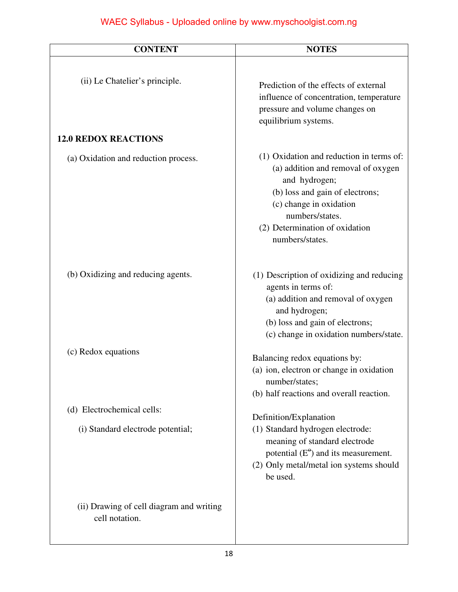| <b>CONTENT</b>                                             | <b>NOTES</b>                                                                                                                                                                                                                          |
|------------------------------------------------------------|---------------------------------------------------------------------------------------------------------------------------------------------------------------------------------------------------------------------------------------|
| (ii) Le Chatelier's principle.                             | Prediction of the effects of external<br>influence of concentration, temperature<br>pressure and volume changes on<br>equilibrium systems.                                                                                            |
| <b>12.0 REDOX REACTIONS</b>                                |                                                                                                                                                                                                                                       |
| (a) Oxidation and reduction process.                       | (1) Oxidation and reduction in terms of:<br>(a) addition and removal of oxygen<br>and hydrogen;<br>(b) loss and gain of electrons;<br>(c) change in oxidation<br>numbers/states.<br>(2) Determination of oxidation<br>numbers/states. |
| (b) Oxidizing and reducing agents.                         | (1) Description of oxidizing and reducing<br>agents in terms of:<br>(a) addition and removal of oxygen<br>and hydrogen;<br>(b) loss and gain of electrons;<br>(c) change in oxidation numbers/state.                                  |
| (c) Redox equations                                        | Balancing redox equations by:<br>(a) ion, electron or change in oxidation<br>number/states;<br>(b) half reactions and overall reaction.                                                                                               |
| (d) Electrochemical cells:                                 | Definition/Explanation                                                                                                                                                                                                                |
| (i) Standard electrode potential;                          | (1) Standard hydrogen electrode:<br>meaning of standard electrode<br>potential $(E^{\theta})$ and its measurement.<br>(2) Only metal/metal ion systems should<br>be used.                                                             |
| (ii) Drawing of cell diagram and writing<br>cell notation. |                                                                                                                                                                                                                                       |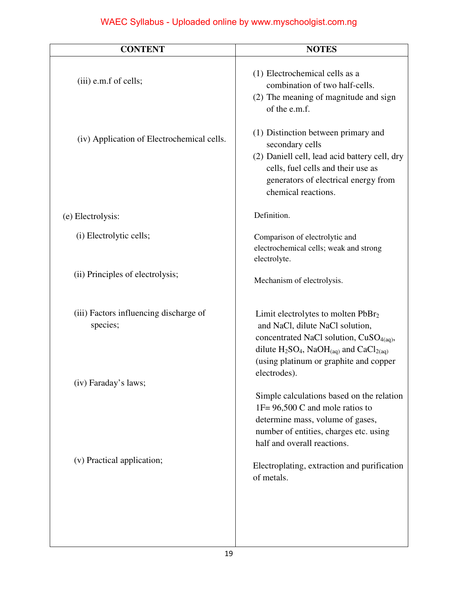| <b>CONTENT</b>                                     | <b>NOTES</b>                                                                                                                                                                                                                                      |
|----------------------------------------------------|---------------------------------------------------------------------------------------------------------------------------------------------------------------------------------------------------------------------------------------------------|
| (iii) e.m.f of cells;                              | (1) Electrochemical cells as a<br>combination of two half-cells.<br>(2) The meaning of magnitude and sign<br>of the e.m.f.                                                                                                                        |
| (iv) Application of Electrochemical cells.         | (1) Distinction between primary and<br>secondary cells<br>(2) Daniell cell, lead acid battery cell, dry<br>cells, fuel cells and their use as<br>generators of electrical energy from<br>chemical reactions.                                      |
| (e) Electrolysis:                                  | Definition.                                                                                                                                                                                                                                       |
| (i) Electrolytic cells;                            | Comparison of electrolytic and<br>electrochemical cells; weak and strong<br>electrolyte.                                                                                                                                                          |
| (ii) Principles of electrolysis;                   | Mechanism of electrolysis.                                                                                                                                                                                                                        |
| (iii) Factors influencing discharge of<br>species; | Limit electrolytes to molten PbBr <sub>2</sub><br>and NaCl, dilute NaCl solution,<br>concentrated NaCl solution, CuSO <sub>4(aq)</sub> ,<br>dilute $H_2SO_4$ , NaO $H_{(aq)}$ and CaCl <sub>2(aq)</sub><br>(using platinum or graphite and copper |
| (iv) Faraday's laws;                               | electrodes).                                                                                                                                                                                                                                      |
|                                                    | Simple calculations based on the relation<br>$1F = 96,500 C$ and mole ratios to<br>determine mass, volume of gases,<br>number of entities, charges etc. using<br>half and overall reactions.                                                      |
| (v) Practical application;                         | Electroplating, extraction and purification<br>of metals.                                                                                                                                                                                         |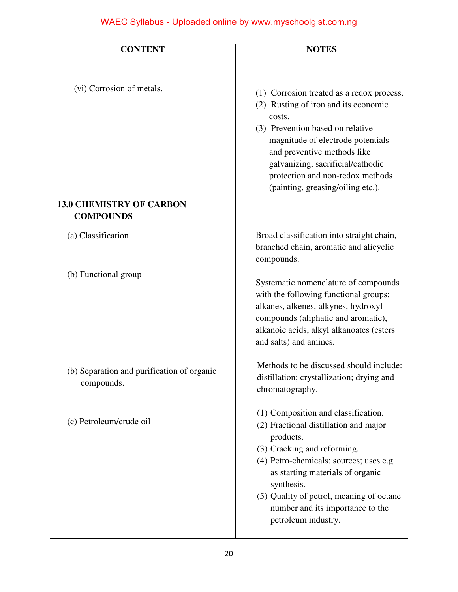| <b>CONTENT</b>                                                                   | <b>NOTES</b>                                                                                                                                                                                                                                                                                                                 |
|----------------------------------------------------------------------------------|------------------------------------------------------------------------------------------------------------------------------------------------------------------------------------------------------------------------------------------------------------------------------------------------------------------------------|
| (vi) Corrosion of metals.<br><b>13.0 CHEMISTRY OF CARBON</b><br><b>COMPOUNDS</b> | (1) Corrosion treated as a redox process.<br>(2) Rusting of iron and its economic<br>costs.<br>(3) Prevention based on relative<br>magnitude of electrode potentials<br>and preventive methods like<br>galvanizing, sacrificial/cathodic<br>protection and non-redox methods<br>(painting, greasing/oiling etc.).            |
| (a) Classification                                                               | Broad classification into straight chain,<br>branched chain, aromatic and alicyclic<br>compounds.                                                                                                                                                                                                                            |
| (b) Functional group                                                             | Systematic nomenclature of compounds<br>with the following functional groups:<br>alkanes, alkenes, alkynes, hydroxyl<br>compounds (aliphatic and aromatic),<br>alkanoic acids, alkyl alkanoates (esters<br>and salts) and amines.                                                                                            |
| (b) Separation and purification of organic<br>compounds.                         | Methods to be discussed should include:<br>distillation; crystallization; drying and<br>chromatography.                                                                                                                                                                                                                      |
| (c) Petroleum/crude oil                                                          | (1) Composition and classification.<br>(2) Fractional distillation and major<br>products.<br>(3) Cracking and reforming.<br>(4) Petro-chemicals: sources; uses e.g.<br>as starting materials of organic<br>synthesis.<br>(5) Quality of petrol, meaning of octane<br>number and its importance to the<br>petroleum industry. |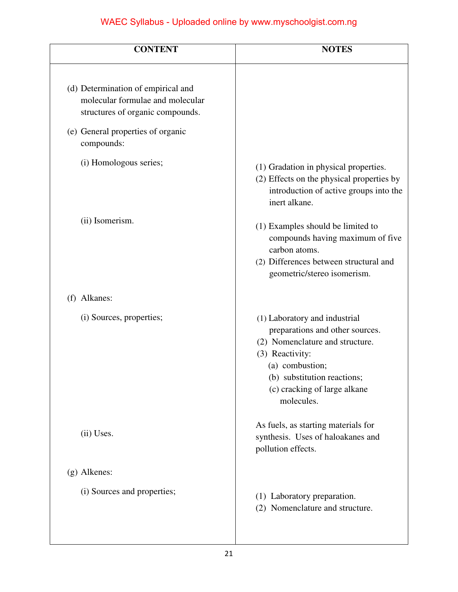| <b>CONTENT</b>                                                                                             | <b>NOTES</b>                                                                                                                                                                                                           |
|------------------------------------------------------------------------------------------------------------|------------------------------------------------------------------------------------------------------------------------------------------------------------------------------------------------------------------------|
| (d) Determination of empirical and<br>molecular formulae and molecular<br>structures of organic compounds. |                                                                                                                                                                                                                        |
| (e) General properties of organic<br>compounds:                                                            |                                                                                                                                                                                                                        |
| (i) Homologous series;                                                                                     | (1) Gradation in physical properties.<br>(2) Effects on the physical properties by<br>introduction of active groups into the<br>inert alkane.                                                                          |
| (ii) Isomerism.                                                                                            | (1) Examples should be limited to<br>compounds having maximum of five<br>carbon atoms.<br>(2) Differences between structural and<br>geometric/stereo isomerism.                                                        |
| (f) Alkanes:                                                                                               |                                                                                                                                                                                                                        |
| (i) Sources, properties;                                                                                   | (1) Laboratory and industrial<br>preparations and other sources.<br>(2) Nomenclature and structure.<br>(3) Reactivity:<br>(a) combustion;<br>(b) substitution reactions;<br>(c) cracking of large alkane<br>molecules. |
| (ii) Uses.                                                                                                 | As fuels, as starting materials for<br>synthesis. Uses of haloakanes and<br>pollution effects.                                                                                                                         |
| (g) Alkenes:                                                                                               |                                                                                                                                                                                                                        |
| (i) Sources and properties;                                                                                | (1) Laboratory preparation.<br>(2) Nomenclature and structure.                                                                                                                                                         |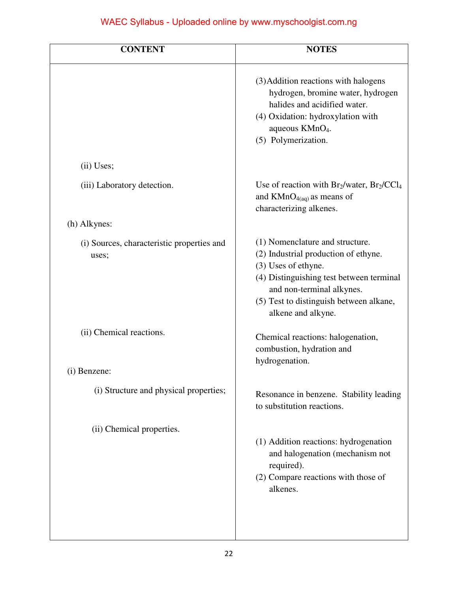| <b>CONTENT</b>                                      | <b>NOTES</b>                                                                                                                                                                                                                             |
|-----------------------------------------------------|------------------------------------------------------------------------------------------------------------------------------------------------------------------------------------------------------------------------------------------|
|                                                     | (3) Addition reactions with halogens<br>hydrogen, bromine water, hydrogen<br>halides and acidified water.<br>(4) Oxidation: hydroxylation with<br>aqueous KMnO <sub>4</sub> .<br>(5) Polymerization.                                     |
| (ii) Uses;                                          |                                                                                                                                                                                                                                          |
| (iii) Laboratory detection.                         | Use of reaction with $Br_2/water$ , $Br_2/CCl_4$<br>and $KMnO_{4(aq)}$ as means of<br>characterizing alkenes.                                                                                                                            |
| (h) Alkynes:                                        |                                                                                                                                                                                                                                          |
| (i) Sources, characteristic properties and<br>uses; | (1) Nomenclature and structure.<br>(2) Industrial production of ethyne.<br>(3) Uses of ethyne.<br>(4) Distinguishing test between terminal<br>and non-terminal alkynes.<br>(5) Test to distinguish between alkane,<br>alkene and alkyne. |
| (ii) Chemical reactions.                            | Chemical reactions: halogenation,<br>combustion, hydration and<br>hydrogenation.                                                                                                                                                         |
| (i) Benzene:                                        |                                                                                                                                                                                                                                          |
| (i) Structure and physical properties;              | Resonance in benzene. Stability leading<br>to substitution reactions.                                                                                                                                                                    |
| (ii) Chemical properties.                           | (1) Addition reactions: hydrogenation<br>and halogenation (mechanism not<br>required).<br>(2) Compare reactions with those of<br>alkenes.                                                                                                |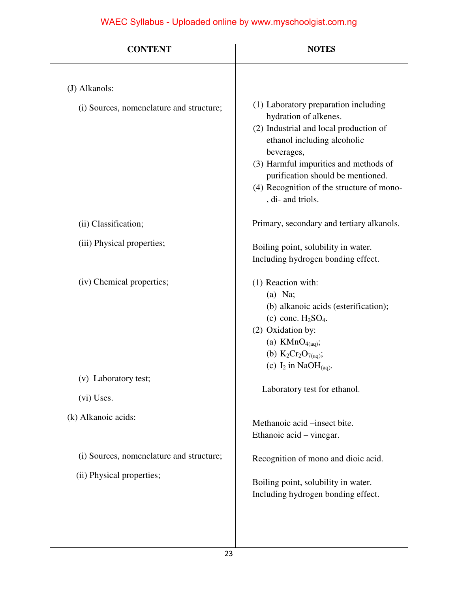| <b>CONTENT</b>                           | <b>NOTES</b>                                                                                                                                                                                                                                                                                         |
|------------------------------------------|------------------------------------------------------------------------------------------------------------------------------------------------------------------------------------------------------------------------------------------------------------------------------------------------------|
| (J) Alkanols:                            |                                                                                                                                                                                                                                                                                                      |
| (i) Sources, nomenclature and structure; | (1) Laboratory preparation including<br>hydration of alkenes.<br>(2) Industrial and local production of<br>ethanol including alcoholic<br>beverages,<br>(3) Harmful impurities and methods of<br>purification should be mentioned.<br>(4) Recognition of the structure of mono-<br>, di- and triols. |
| (ii) Classification;                     | Primary, secondary and tertiary alkanols.                                                                                                                                                                                                                                                            |
| (iii) Physical properties;               | Boiling point, solubility in water.<br>Including hydrogen bonding effect.                                                                                                                                                                                                                            |
| (iv) Chemical properties;                | (1) Reaction with:<br>$(a)$ Na;<br>(b) alkanoic acids (esterification);<br>(c) conc. $H2SO4$ .<br>(2) Oxidation by:<br>(a) $KMnO_{4(aq)}$ ;<br>(b) $K_2Cr_2O_{7(aq)}$ ;<br>(c) $I_2$ in NaO $H_{(aq)}$ .                                                                                             |
| (v) Laboratory test;                     |                                                                                                                                                                                                                                                                                                      |
| (vi) Uses.                               | Laboratory test for ethanol.                                                                                                                                                                                                                                                                         |
| (k) Alkanoic acids:                      | Methanoic acid –insect bite.<br>Ethanoic acid – vinegar.                                                                                                                                                                                                                                             |
| (i) Sources, nomenclature and structure; | Recognition of mono and dioic acid.                                                                                                                                                                                                                                                                  |
| (ii) Physical properties;                | Boiling point, solubility in water.<br>Including hydrogen bonding effect.                                                                                                                                                                                                                            |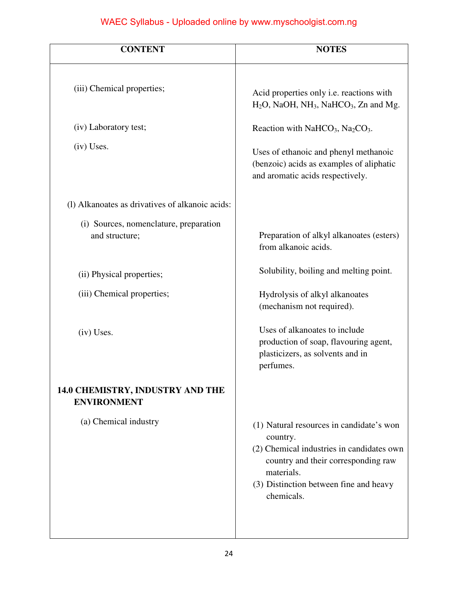| <b>CONTENT</b>                                           | <b>NOTES</b>                                                                                                                                                                                                   |
|----------------------------------------------------------|----------------------------------------------------------------------------------------------------------------------------------------------------------------------------------------------------------------|
|                                                          |                                                                                                                                                                                                                |
| (iii) Chemical properties;                               | Acid properties only i.e. reactions with<br>$H_2O$ , NaOH, NH <sub>3</sub> , NaHCO <sub>3</sub> , Zn and Mg.                                                                                                   |
| (iv) Laboratory test;                                    | Reaction with NaHCO <sub>3</sub> , Na <sub>2</sub> CO <sub>3</sub> .                                                                                                                                           |
| (iv) Uses.                                               | Uses of ethanoic and phenyl methanoic<br>(benzoic) acids as examples of aliphatic<br>and aromatic acids respectively.                                                                                          |
| (1) Alkanoates as drivatives of alkanoic acids:          |                                                                                                                                                                                                                |
| (i) Sources, nomenclature, preparation<br>and structure; | Preparation of alkyl alkanoates (esters)<br>from alkanoic acids.                                                                                                                                               |
| (ii) Physical properties;                                | Solubility, boiling and melting point.                                                                                                                                                                         |
| (iii) Chemical properties;                               | Hydrolysis of alkyl alkanoates<br>(mechanism not required).                                                                                                                                                    |
| $(iv)$ Uses.                                             | Uses of alkanoates to include<br>production of soap, flavouring agent,<br>plasticizers, as solvents and in<br>perfumes.                                                                                        |
| 14.0 CHEMISTRY, INDUSTRY AND THE<br><b>ENVIRONMENT</b>   |                                                                                                                                                                                                                |
| (a) Chemical industry                                    | (1) Natural resources in candidate's won<br>country.<br>(2) Chemical industries in candidates own<br>country and their corresponding raw<br>materials.<br>(3) Distinction between fine and heavy<br>chemicals. |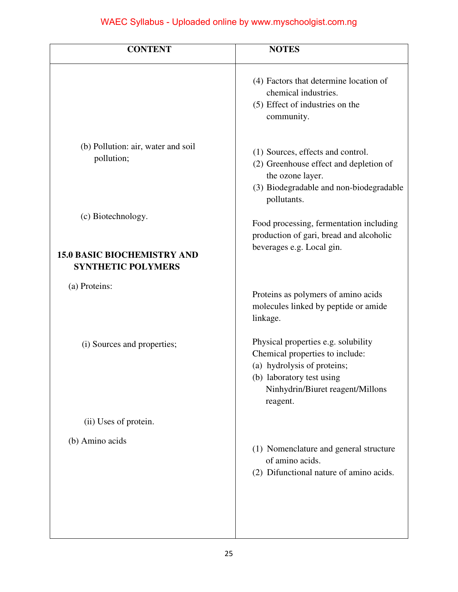| <b>NOTES</b>                                                                                                                                                                       |
|------------------------------------------------------------------------------------------------------------------------------------------------------------------------------------|
| (4) Factors that determine location of<br>chemical industries.<br>(5) Effect of industries on the<br>community.                                                                    |
| (1) Sources, effects and control.<br>(2) Greenhouse effect and depletion of<br>the ozone layer.<br>(3) Biodegradable and non-biodegradable<br>pollutants.                          |
| Food processing, fermentation including<br>production of gari, bread and alcoholic<br>beverages e.g. Local gin.                                                                    |
| Proteins as polymers of amino acids<br>molecules linked by peptide or amide<br>linkage.                                                                                            |
| Physical properties e.g. solubility<br>Chemical properties to include:<br>(a) hydrolysis of proteins;<br>(b) laboratory test using<br>Ninhydrin/Biuret reagent/Millons<br>reagent. |
|                                                                                                                                                                                    |
| (1) Nomenclature and general structure<br>of amino acids.<br>(2) Difunctional nature of amino acids.                                                                               |
|                                                                                                                                                                                    |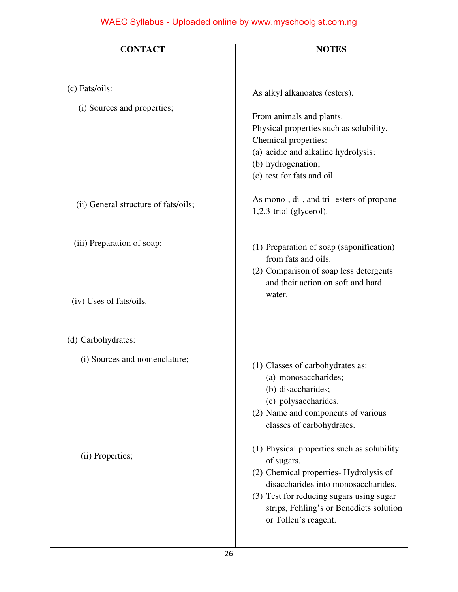| <b>CONTACT</b>                       | <b>NOTES</b>                                                                                                                                                                                                                                             |
|--------------------------------------|----------------------------------------------------------------------------------------------------------------------------------------------------------------------------------------------------------------------------------------------------------|
| (c) Fats/oils:                       | As alkyl alkanoates (esters).                                                                                                                                                                                                                            |
| (i) Sources and properties;          | From animals and plants.<br>Physical properties such as solubility.<br>Chemical properties:<br>(a) acidic and alkaline hydrolysis;<br>(b) hydrogenation;<br>(c) test for fats and oil.                                                                   |
| (ii) General structure of fats/oils; | As mono-, di-, and tri- esters of propane-<br>$1,2,3$ -triol (glycerol).                                                                                                                                                                                 |
| (iii) Preparation of soap;           | (1) Preparation of soap (saponification)<br>from fats and oils.<br>(2) Comparison of soap less detergents<br>and their action on soft and hard                                                                                                           |
| (iv) Uses of fats/oils.              | water.                                                                                                                                                                                                                                                   |
| (d) Carbohydrates:                   |                                                                                                                                                                                                                                                          |
| (i) Sources and nomenclature;        | (1) Classes of carbohydrates as:<br>(a) monosaccharides;<br>(b) disaccharides;<br>(c) polysaccharides.<br>(2) Name and components of various<br>classes of carbohydrates.                                                                                |
| (ii) Properties;                     | (1) Physical properties such as solubility<br>of sugars.<br>(2) Chemical properties- Hydrolysis of<br>disaccharides into monosaccharides.<br>(3) Test for reducing sugars using sugar<br>strips, Fehling's or Benedicts solution<br>or Tollen's reagent. |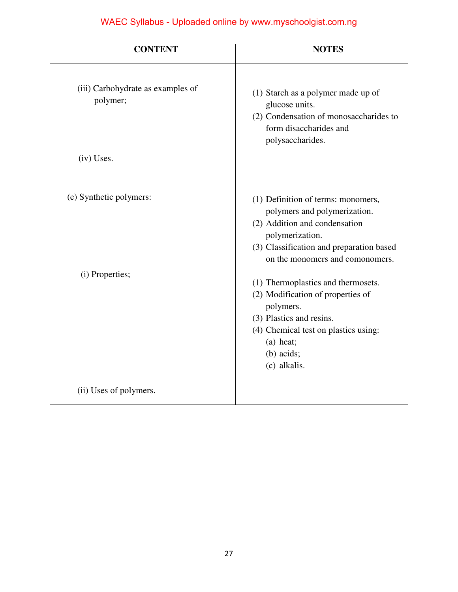| <b>CONTENT</b>                                | <b>NOTES</b>                                                                                                                                                                                          |
|-----------------------------------------------|-------------------------------------------------------------------------------------------------------------------------------------------------------------------------------------------------------|
| (iii) Carbohydrate as examples of<br>polymer; | (1) Starch as a polymer made up of<br>glucose units.<br>(2) Condensation of monosaccharides to<br>form disaccharides and<br>polysaccharides.                                                          |
| (iv) Uses.                                    |                                                                                                                                                                                                       |
| (e) Synthetic polymers:                       | (1) Definition of terms: monomers,<br>polymers and polymerization.<br>(2) Addition and condensation<br>polymerization.<br>(3) Classification and preparation based<br>on the monomers and comonomers. |
| (i) Properties;                               | (1) Thermoplastics and thermosets.<br>(2) Modification of properties of<br>polymers.<br>(3) Plastics and resins.<br>(4) Chemical test on plastics using:<br>(a) heat;<br>$(b)$ acids;<br>(c) alkalis. |
| (ii) Uses of polymers.                        |                                                                                                                                                                                                       |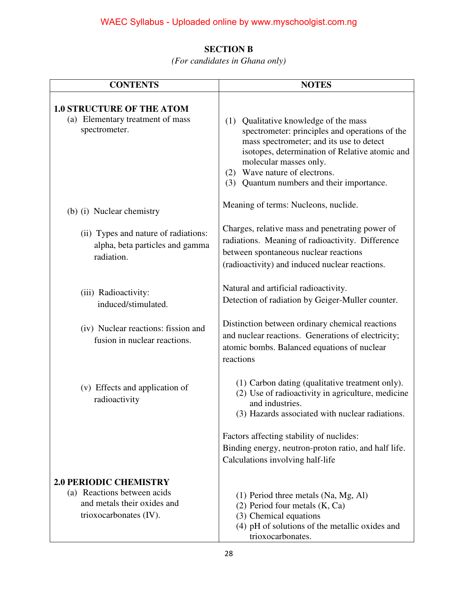#### **SECTION B**

*(For candidates in Ghana only)* 

| <b>CONTENTS</b>                                                                                                       | <b>NOTES</b>                                                                                                                                                                                                                                                                                  |
|-----------------------------------------------------------------------------------------------------------------------|-----------------------------------------------------------------------------------------------------------------------------------------------------------------------------------------------------------------------------------------------------------------------------------------------|
| <b>1.0 STRUCTURE OF THE ATOM</b><br>(a) Elementary treatment of mass<br>spectrometer.                                 | (1) Qualitative knowledge of the mass<br>spectrometer: principles and operations of the<br>mass spectrometer; and its use to detect<br>isotopes, determination of Relative atomic and<br>molecular masses only.<br>(2) Wave nature of electrons.<br>(3) Quantum numbers and their importance. |
| (b) (i) Nuclear chemistry                                                                                             | Meaning of terms: Nucleons, nuclide.                                                                                                                                                                                                                                                          |
| (ii) Types and nature of radiations:<br>alpha, beta particles and gamma<br>radiation.                                 | Charges, relative mass and penetrating power of<br>radiations. Meaning of radioactivity. Difference<br>between spontaneous nuclear reactions<br>(radioactivity) and induced nuclear reactions.                                                                                                |
| (iii) Radioactivity:<br>induced/stimulated.                                                                           | Natural and artificial radioactivity.<br>Detection of radiation by Geiger-Muller counter.                                                                                                                                                                                                     |
| (iv) Nuclear reactions: fission and<br>fusion in nuclear reactions.                                                   | Distinction between ordinary chemical reactions<br>and nuclear reactions. Generations of electricity;<br>atomic bombs. Balanced equations of nuclear<br>reactions                                                                                                                             |
| (v) Effects and application of<br>radioactivity                                                                       | (1) Carbon dating (qualitative treatment only).<br>(2) Use of radioactivity in agriculture, medicine<br>and industries.<br>(3) Hazards associated with nuclear radiations.                                                                                                                    |
|                                                                                                                       | Factors affecting stability of nuclides:<br>Binding energy, neutron-proton ratio, and half life.<br>Calculations involving half-life                                                                                                                                                          |
| <b>2.0 PERIODIC CHEMISTRY</b><br>(a) Reactions between acids<br>and metals their oxides and<br>trioxocarbonates (IV). | (1) Period three metals (Na, Mg, Al)<br>$(2)$ Period four metals $(K, Ca)$<br>(3) Chemical equations<br>(4) pH of solutions of the metallic oxides and<br>trioxocarbonates.                                                                                                                   |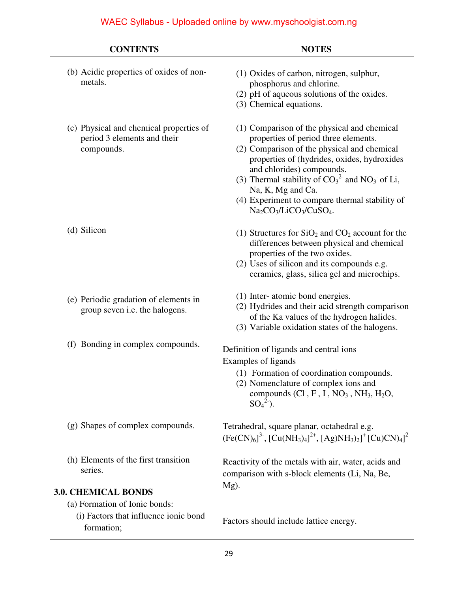| <b>CONTENTS</b>                                                                      | <b>NOTES</b>                                                                                                                                                                                                                                                                                                                                                           |
|--------------------------------------------------------------------------------------|------------------------------------------------------------------------------------------------------------------------------------------------------------------------------------------------------------------------------------------------------------------------------------------------------------------------------------------------------------------------|
| (b) Acidic properties of oxides of non-<br>metals.                                   | (1) Oxides of carbon, nitrogen, sulphur,<br>phosphorus and chlorine.<br>(2) pH of aqueous solutions of the oxides.<br>(3) Chemical equations.                                                                                                                                                                                                                          |
| (c) Physical and chemical properties of<br>period 3 elements and their<br>compounds. | (1) Comparison of the physical and chemical<br>properties of period three elements.<br>(2) Comparison of the physical and chemical<br>properties of (hydrides, oxides, hydroxides<br>and chlorides) compounds.<br>(3) Thermal stability of $CO_3^2$ and $NO_3$ of Li,<br>Na, K, Mg and Ca.<br>(4) Experiment to compare thermal stability of<br>$Na2CO3/LiCO3/CuSO4$ . |
| (d) Silicon                                                                          | (1) Structures for $SiO2$ and $CO2$ account for the<br>differences between physical and chemical<br>properties of the two oxides.<br>(2) Uses of silicon and its compounds e.g.<br>ceramics, glass, silica gel and microchips.                                                                                                                                         |
| (e) Periodic gradation of elements in<br>group seven i.e. the halogens.              | (1) Inter-atomic bond energies.<br>(2) Hydrides and their acid strength comparison<br>of the Ka values of the hydrogen halides.<br>(3) Variable oxidation states of the halogens.                                                                                                                                                                                      |
| (f) Bonding in complex compounds.                                                    | Definition of ligands and central ions<br>Examples of ligands<br>(1) Formation of coordination compounds.<br>(2) Nomenclature of complex ions and<br>compounds $(Cl, F, I, NO3, NH3, H2O,$<br>$SO_4^2$ .                                                                                                                                                               |
| (g) Shapes of complex compounds.                                                     | Tetrahedral, square planar, octahedral e.g.<br>$[Fe(CN)_6]^3$ , $[Cu(NH_3)_4]^{2+}$ , $[Ag)NH_3)_2]^+$ $[Cu)CN)_4]^2$                                                                                                                                                                                                                                                  |
| (h) Elements of the first transition<br>series.<br><b>3.0. CHEMICAL BONDS</b>        | Reactivity of the metals with air, water, acids and<br>comparison with s-block elements (Li, Na, Be,<br>$Mg$ ).                                                                                                                                                                                                                                                        |
| (a) Formation of Ionic bonds:<br>(i) Factors that influence ionic bond<br>formation; | Factors should include lattice energy.                                                                                                                                                                                                                                                                                                                                 |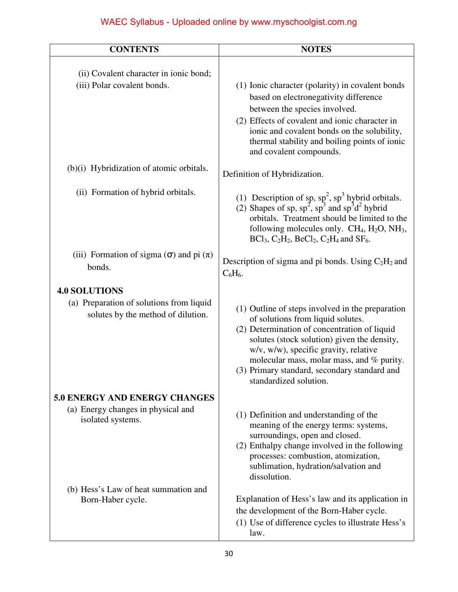| <b>CONTENTS</b>                                                                | <b>NOTES</b>                                                                                                                                                                                                                                                                                                                                         |
|--------------------------------------------------------------------------------|------------------------------------------------------------------------------------------------------------------------------------------------------------------------------------------------------------------------------------------------------------------------------------------------------------------------------------------------------|
| (ii) Covalent character in ionic bond;<br>(iii) Polar covalent bonds.          | (1) Ionic character (polarity) in covalent bonds<br>based on electronegativity difference<br>between the species involved.<br>(2) Effects of covalent and ionic character in<br>ionic and covalent bonds on the solubility,<br>thermal stability and boiling points of ionic<br>and covalent compounds.                                              |
| (b)(i) Hybridization of atomic orbitals.                                       | Definition of Hybridization.                                                                                                                                                                                                                                                                                                                         |
| (ii) Formation of hybrid orbitals.                                             | (1) Description of sp, $sp^2$ , $sp^3$ hybrid orbitals.<br>(2) Shapes of sp, $sp^2$ , $sp^3$ and $sp^3d^2$ hybrid<br>orbitals. Treatment should be limited to the<br>following molecules only. $CH_4$ , $H_2O$ , $NH_3$ ,<br>$BCl_3$ , $C_2H_2$ , $BeCl_2$ , $C_2H_4$ and $SF_6$ .                                                                   |
| (iii) Formation of sigma $(\sigma)$ and pi $(\pi)$<br>bonds.                   | Description of sigma and pi bonds. Using $C_2H_2$ and<br>$C_6H_6.$                                                                                                                                                                                                                                                                                   |
| <b>4.0 SOLUTIONS</b>                                                           |                                                                                                                                                                                                                                                                                                                                                      |
| (a) Preparation of solutions from liquid<br>solutes by the method of dilution. | (1) Outline of steps involved in the preparation<br>of solutions from liquid solutes.<br>(2) Determination of concentration of liquid<br>solutes (stock solution) given the density,<br>w/v, w/w), specific gravity, relative<br>molecular mass, molar mass, and % purity.<br>(3) Primary standard, secondary standard and<br>standardized solution. |
| <b>5.0 ENERGY AND ENERGY CHANGES</b>                                           |                                                                                                                                                                                                                                                                                                                                                      |
| (a) Energy changes in physical and<br>isolated systems.                        | (1) Definition and understanding of the<br>meaning of the energy terms: systems,<br>surroundings, open and closed.<br>(2) Enthalpy change involved in the following<br>processes: combustion, atomization,<br>sublimation, hydration/salvation and<br>dissolution.                                                                                   |
| (b) Hess's Law of heat summation and<br>Born-Haber cycle.                      | Explanation of Hess's law and its application in<br>the development of the Born-Haber cycle.<br>(1) Use of difference cycles to illustrate Hess's<br>law.                                                                                                                                                                                            |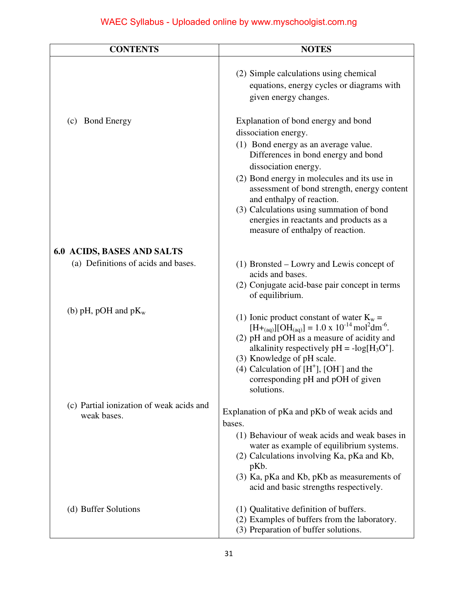| <b>CONTENTS</b>                                         | <b>NOTES</b>                                                                                                                                                                                                                                                                                                                                                                         |
|---------------------------------------------------------|--------------------------------------------------------------------------------------------------------------------------------------------------------------------------------------------------------------------------------------------------------------------------------------------------------------------------------------------------------------------------------------|
|                                                         | (2) Simple calculations using chemical<br>equations, energy cycles or diagrams with<br>given energy changes.                                                                                                                                                                                                                                                                         |
| (c) Bond Energy                                         | Explanation of bond energy and bond<br>dissociation energy.<br>(1) Bond energy as an average value.<br>Differences in bond energy and bond<br>dissociation energy.<br>(2) Bond energy in molecules and its use in<br>assessment of bond strength, energy content<br>and enthalpy of reaction.<br>(3) Calculations using summation of bond<br>energies in reactants and products as a |
| <b>6.0 ACIDS, BASES AND SALTS</b>                       | measure of enthalpy of reaction.                                                                                                                                                                                                                                                                                                                                                     |
| (a) Definitions of acids and bases.                     | $(1)$ Bronsted – Lowry and Lewis concept of<br>acids and bases.<br>(2) Conjugate acid-base pair concept in terms<br>of equilibrium.                                                                                                                                                                                                                                                  |
| (b) pH, pOH and $pK_w$                                  | (1) Ionic product constant of water $K_w =$<br>$[H+_{(aq)}][OH_{(aq)}] = 1.0 \times 10^{-14} \text{ mol}^2 \text{dm}^{-6}.$<br>(2) pH and pOH as a measure of acidity and<br>alkalinity respectively $pH = -log[H_3O^+]$ .<br>(3) Knowledge of pH scale.<br>(4) Calculation of $[H^{\dagger}]$ , [OH <sup>-</sup> ] and the<br>corresponding pH and pOH of given<br>solutions.       |
| (c) Partial ionization of weak acids and<br>weak bases. | Explanation of pKa and pKb of weak acids and<br>bases.<br>(1) Behaviour of weak acids and weak bases in<br>water as example of equilibrium systems.<br>(2) Calculations involving Ka, pKa and Kb,<br>pKb.<br>(3) Ka, pKa and Kb, pKb as measurements of<br>acid and basic strengths respectively.                                                                                    |
| (d) Buffer Solutions                                    | (1) Qualitative definition of buffers.<br>(2) Examples of buffers from the laboratory.<br>(3) Preparation of buffer solutions.                                                                                                                                                                                                                                                       |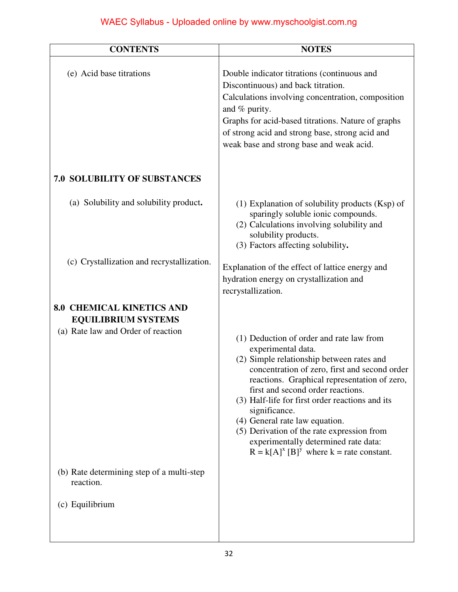| <b>CONTENTS</b>                                                                                      | <b>NOTES</b>                                                                                                                                                                                                                                                                                                                                                                                                                                                                                   |
|------------------------------------------------------------------------------------------------------|------------------------------------------------------------------------------------------------------------------------------------------------------------------------------------------------------------------------------------------------------------------------------------------------------------------------------------------------------------------------------------------------------------------------------------------------------------------------------------------------|
| (e) Acid base titrations                                                                             | Double indicator titrations (continuous and<br>Discontinuous) and back titration.<br>Calculations involving concentration, composition<br>and % purity.<br>Graphs for acid-based titrations. Nature of graphs<br>of strong acid and strong base, strong acid and<br>weak base and strong base and weak acid.                                                                                                                                                                                   |
| <b>7.0 SOLUBILITY OF SUBSTANCES</b>                                                                  |                                                                                                                                                                                                                                                                                                                                                                                                                                                                                                |
| (a) Solubility and solubility product.                                                               | (1) Explanation of solubility products (Ksp) of<br>sparingly soluble ionic compounds.<br>(2) Calculations involving solubility and<br>solubility products.<br>(3) Factors affecting solubility.                                                                                                                                                                                                                                                                                                |
| (c) Crystallization and recrystallization.                                                           | Explanation of the effect of lattice energy and<br>hydration energy on crystallization and<br>recrystallization.                                                                                                                                                                                                                                                                                                                                                                               |
| <b>8.0 CHEMICAL KINETICS AND</b><br><b>EQUILIBRIUM SYSTEMS</b><br>(a) Rate law and Order of reaction | (1) Deduction of order and rate law from<br>experimental data.<br>(2) Simple relationship between rates and<br>concentration of zero, first and second order<br>reactions. Graphical representation of zero,<br>first and second order reactions.<br>(3) Half-life for first order reactions and its<br>significance.<br>(4) General rate law equation.<br>(5) Derivation of the rate expression from<br>experimentally determined rate data:<br>$R = k[A]^x [B]^y$ where $k =$ rate constant. |
| (b) Rate determining step of a multi-step<br>reaction.                                               |                                                                                                                                                                                                                                                                                                                                                                                                                                                                                                |
| (c) Equilibrium                                                                                      |                                                                                                                                                                                                                                                                                                                                                                                                                                                                                                |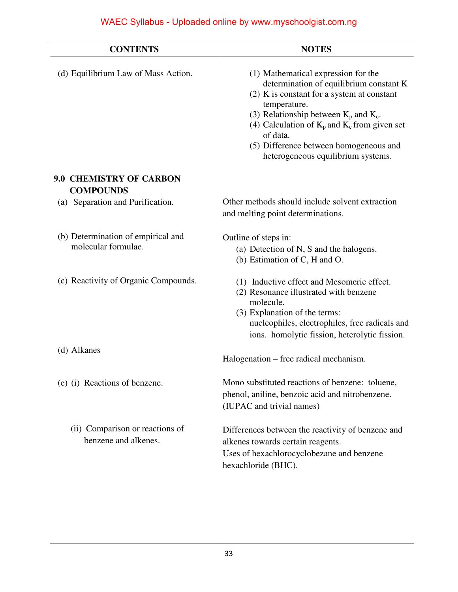| <b>CONTENTS</b>                                           | <b>NOTES</b>                                                                                                                                                                                                                                                                                                                                  |
|-----------------------------------------------------------|-----------------------------------------------------------------------------------------------------------------------------------------------------------------------------------------------------------------------------------------------------------------------------------------------------------------------------------------------|
| (d) Equilibrium Law of Mass Action.                       | (1) Mathematical expression for the<br>determination of equilibrium constant K<br>$(2)$ K is constant for a system at constant<br>temperature.<br>(3) Relationship between $K_p$ and $K_c$ .<br>(4) Calculation of $K_p$ and $K_c$ from given set<br>of data.<br>(5) Difference between homogeneous and<br>heterogeneous equilibrium systems. |
| <b>9.0 CHEMISTRY OF CARBON</b><br><b>COMPOUNDS</b>        |                                                                                                                                                                                                                                                                                                                                               |
| (a) Separation and Purification.                          | Other methods should include solvent extraction<br>and melting point determinations.                                                                                                                                                                                                                                                          |
| (b) Determination of empirical and<br>molecular formulae. | Outline of steps in:<br>(a) Detection of N, S and the halogens.<br>(b) Estimation of C, H and O.                                                                                                                                                                                                                                              |
| (c) Reactivity of Organic Compounds.                      | (1) Inductive effect and Mesomeric effect.<br>(2) Resonance illustrated with benzene<br>molecule.<br>(3) Explanation of the terms:<br>nucleophiles, electrophiles, free radicals and<br>ions. homolytic fission, heterolytic fission.                                                                                                         |
| (d) Alkanes                                               | Halogenation – free radical mechanism.                                                                                                                                                                                                                                                                                                        |
| (e) (i) Reactions of benzene.                             | Mono substituted reactions of benzene: toluene,<br>phenol, aniline, benzoic acid and nitrobenzene.<br>(IUPAC and trivial names)                                                                                                                                                                                                               |
| (ii) Comparison or reactions of<br>benzene and alkenes.   | Differences between the reactivity of benzene and<br>alkenes towards certain reagents.<br>Uses of hexachlorocyclobezane and benzene<br>hexachloride (BHC).                                                                                                                                                                                    |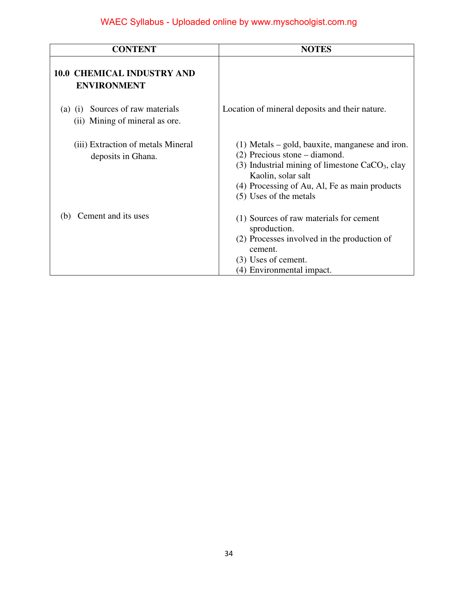| <b>CONTENT</b>                                                     | <b>NOTES</b>                                                                                                                                                                                                                               |
|--------------------------------------------------------------------|--------------------------------------------------------------------------------------------------------------------------------------------------------------------------------------------------------------------------------------------|
| <b>10.0 CHEMICAL INDUSTRY AND</b><br><b>ENVIRONMENT</b>            |                                                                                                                                                                                                                                            |
| (a) (i) Sources of raw materials<br>(ii) Mining of mineral as ore. | Location of mineral deposits and their nature.                                                                                                                                                                                             |
| (iii) Extraction of metals Mineral<br>deposits in Ghana.           | $(1)$ Metals – gold, bauxite, manganese and iron.<br>$(2)$ Precious stone – diamond.<br>(3) Industrial mining of limestone $CaCO3$ , clay<br>Kaolin, solar salt<br>(4) Processing of Au, Al, Fe as main products<br>(5) Uses of the metals |
| Cement and its uses<br>(b)                                         | (1) Sources of raw materials for cement<br>sproduction.<br>(2) Processes involved in the production of<br>cement.<br>(3) Uses of cement.<br>(4) Environmental impact.                                                                      |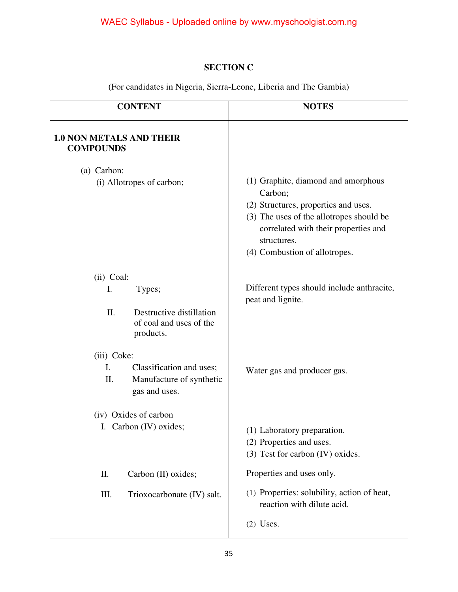#### **SECTION C**

(For candidates in Nigeria, Sierra-Leone, Liberia and The Gambia)

| <b>CONTENT</b>                                                                    | <b>NOTES</b>                                                                                                                                                                                                               |
|-----------------------------------------------------------------------------------|----------------------------------------------------------------------------------------------------------------------------------------------------------------------------------------------------------------------------|
| <b>1.0 NON METALS AND THEIR</b><br><b>COMPOUNDS</b>                               |                                                                                                                                                                                                                            |
| (a) Carbon:                                                                       |                                                                                                                                                                                                                            |
| (i) Allotropes of carbon;                                                         | (1) Graphite, diamond and amorphous<br>Carbon;<br>(2) Structures, properties and uses.<br>(3) The uses of the allotropes should be<br>correlated with their properties and<br>structures.<br>(4) Combustion of allotropes. |
| (ii) Coal:<br>I.<br>Types;                                                        | Different types should include anthracite,<br>peat and lignite.                                                                                                                                                            |
| II.<br>Destructive distillation<br>of coal and uses of the<br>products.           |                                                                                                                                                                                                                            |
| (iii) Coke:                                                                       |                                                                                                                                                                                                                            |
| I.<br>Classification and uses;<br>Π.<br>Manufacture of synthetic<br>gas and uses. | Water gas and producer gas.                                                                                                                                                                                                |
| (iv) Oxides of carbon                                                             |                                                                                                                                                                                                                            |
| I. Carbon (IV) oxides;                                                            | (1) Laboratory preparation.<br>(2) Properties and uses.<br>(3) Test for carbon (IV) oxides.                                                                                                                                |
| Π.<br>Carbon (II) oxides;                                                         | Properties and uses only.                                                                                                                                                                                                  |
| Trioxocarbonate (IV) salt.<br>Ш.                                                  | (1) Properties: solubility, action of heat,<br>reaction with dilute acid.                                                                                                                                                  |
|                                                                                   | $(2)$ Uses.                                                                                                                                                                                                                |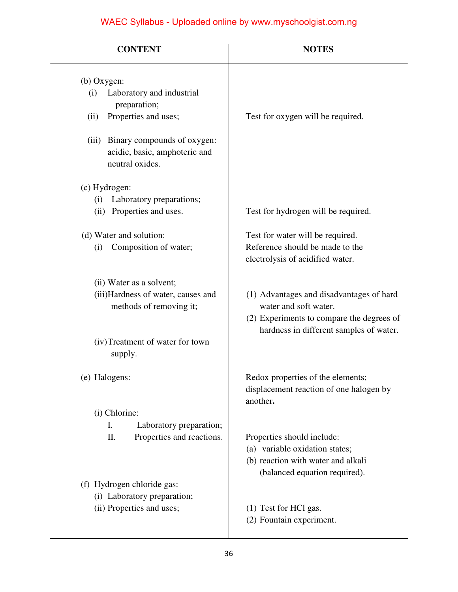| <b>CONTENT</b>                                                                                                                                                                           | <b>NOTES</b>                                                                                                                                              |
|------------------------------------------------------------------------------------------------------------------------------------------------------------------------------------------|-----------------------------------------------------------------------------------------------------------------------------------------------------------|
| (b) Oxygen:<br>Laboratory and industrial<br>(i)<br>preparation;<br>Properties and uses;<br>(ii)<br>(iii) Binary compounds of oxygen:<br>acidic, basic, amphoteric and<br>neutral oxides. | Test for oxygen will be required.                                                                                                                         |
| (c) Hydrogen:<br>Laboratory preparations;<br>(i)<br>Properties and uses.<br>(ii)<br>(d) Water and solution:<br>Composition of water;<br>(i)                                              | Test for hydrogen will be required.<br>Test for water will be required.<br>Reference should be made to the<br>electrolysis of acidified water.            |
| (ii) Water as a solvent;<br>(iii)Hardness of water, causes and<br>methods of removing it;<br>(iv)Treatment of water for town<br>supply.                                                  | (1) Advantages and disadvantages of hard<br>water and soft water.<br>(2) Experiments to compare the degrees of<br>hardness in different samples of water. |
| (e) Halogens:                                                                                                                                                                            | Redox properties of the elements;<br>displacement reaction of one halogen by<br>another.                                                                  |
| (i) Chlorine:<br>I.<br>Laboratory preparation;<br>Properties and reactions.<br>Π.<br>(f) Hydrogen chloride gas:                                                                          | Properties should include:<br>(a) variable oxidation states;<br>(b) reaction with water and alkali<br>(balanced equation required).                       |
| (i) Laboratory preparation;<br>(ii) Properties and uses;                                                                                                                                 | (1) Test for HCl gas.<br>(2) Fountain experiment.                                                                                                         |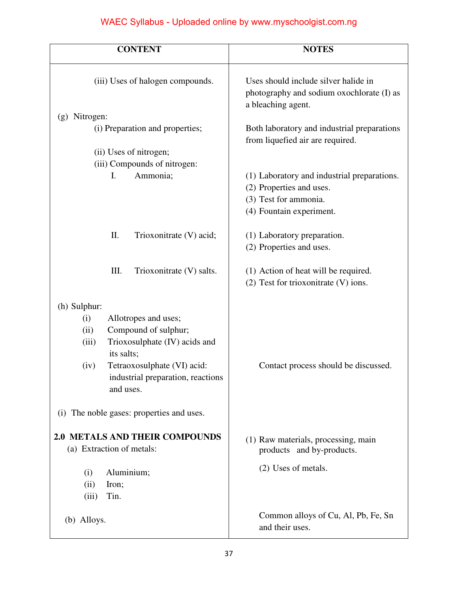| <b>CONTENT</b>                                                                                                                                                                                                                                                               | <b>NOTES</b>                                                                                                                 |
|------------------------------------------------------------------------------------------------------------------------------------------------------------------------------------------------------------------------------------------------------------------------------|------------------------------------------------------------------------------------------------------------------------------|
| (iii) Uses of halogen compounds.                                                                                                                                                                                                                                             | Uses should include silver halide in<br>photography and sodium oxochlorate (I) as<br>a bleaching agent.                      |
| (g) Nitrogen:                                                                                                                                                                                                                                                                |                                                                                                                              |
| (i) Preparation and properties;                                                                                                                                                                                                                                              | Both laboratory and industrial preparations<br>from liquefied air are required.                                              |
| (ii) Uses of nitrogen;                                                                                                                                                                                                                                                       |                                                                                                                              |
| (iii) Compounds of nitrogen:                                                                                                                                                                                                                                                 |                                                                                                                              |
| Ammonia;<br>I.                                                                                                                                                                                                                                                               | (1) Laboratory and industrial preparations.<br>(2) Properties and uses.<br>(3) Test for ammonia.<br>(4) Fountain experiment. |
|                                                                                                                                                                                                                                                                              |                                                                                                                              |
| Π.<br>Trioxonitrate (V) acid;                                                                                                                                                                                                                                                | (1) Laboratory preparation.                                                                                                  |
|                                                                                                                                                                                                                                                                              | (2) Properties and uses.                                                                                                     |
|                                                                                                                                                                                                                                                                              |                                                                                                                              |
| III.<br>Trioxonitrate (V) salts.                                                                                                                                                                                                                                             | (1) Action of heat will be required.<br>(2) Test for trioxonitrate (V) ions.                                                 |
| (h) Sulphur:<br>Allotropes and uses;<br>(i)<br>Compound of sulphur;<br>(ii)<br>Trioxosulphate (IV) acids and<br>(iii)<br>its salts;<br>Tetraoxosulphate (VI) acid:<br>(iv)<br>industrial preparation, reactions<br>and uses.<br>The noble gases: properties and uses.<br>(i) | Contact process should be discussed.                                                                                         |
| <b>2.0 METALS AND THEIR COMPOUNDS</b><br>(a) Extraction of metals:                                                                                                                                                                                                           | (1) Raw materials, processing, main<br>products and by-products.                                                             |
| Aluminium;<br>(i)<br>(ii)<br>Iron;<br>Tin.<br>(iii)                                                                                                                                                                                                                          | (2) Uses of metals.                                                                                                          |
| (b) Alloys.                                                                                                                                                                                                                                                                  | Common alloys of Cu, Al, Pb, Fe, Sn<br>and their uses.                                                                       |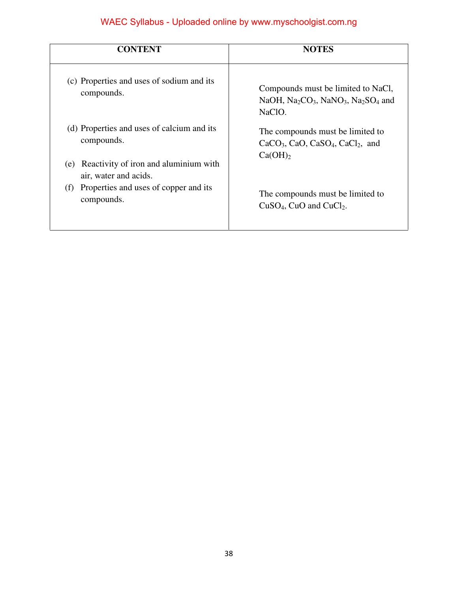| <b>CONTENT</b>                                                                                           | <b>NOTES</b>                                                                                                                                    |
|----------------------------------------------------------------------------------------------------------|-------------------------------------------------------------------------------------------------------------------------------------------------|
| (c) Properties and uses of sodium and its<br>compounds.                                                  | Compounds must be limited to NaCl,<br>NaOH, Na <sub>2</sub> CO <sub>3</sub> , NaNO <sub>3</sub> , Na <sub>2</sub> SO <sub>4</sub> and<br>NaClO. |
| (d) Properties and uses of calcium and its<br>compounds.<br>Reactivity of iron and aluminium with<br>(e) | The compounds must be limited to<br>$CaCO3$ , CaO, CaSO <sub>4</sub> , CaCl <sub>2</sub> , and<br>Ca(OH)                                        |
| air, water and acids.<br>Properties and uses of copper and its<br>(f)<br>compounds.                      | The compounds must be limited to<br>$CuSO4$ , CuO and CuCl <sub>2</sub> .                                                                       |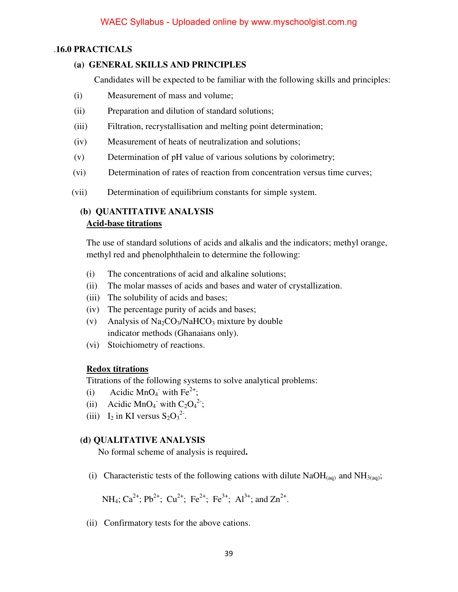#### .**16.0 PRACTICALS**

#### **(a) GENERAL SKILLS AND PRINCIPLES**

Candidates will be expected to be familiar with the following skills and principles:

- (i) Measurement of mass and volume;
- (ii) Preparation and dilution of standard solutions;
- (iii) Filtration, recrystallisation and melting point determination;
- (iv) Measurement of heats of neutralization and solutions;
- (v) Determination of pH value of various solutions by colorimetry;
- (vi) Determination of rates of reaction from concentration versus time curves;
- (vii) Determination of equilibrium constants for simple system.

#### **(b) QUANTITATIVE ANALYSIS Acid-base titrations**

The use of standard solutions of acids and alkalis and the indicators; methyl orange, methyl red and phenolphthalein to determine the following:

- (i) The concentrations of acid and alkaline solutions;
- (ii) The molar masses of acids and bases and water of crystallization.
- (iii) The solubility of acids and bases;
- (iv) The percentage purity of acids and bases;
- (v) Analysis of  $Na_2CO_3/NaHCO_3$  mixture by double indicator methods (Ghanaians only).
- (vi) Stoichiometry of reactions.

#### **Redox titrations**

Titrations of the following systems to solve analytical problems:

- (i) Acidic MnO<sub>4</sub><sup>-</sup> with Fe<sup>2+</sup>;
- (ii) Acidic MnO<sub>4</sub><sup>-</sup> with C<sub>2</sub>O<sub>4</sub><sup>2-</sup>;
- (iii)  $I_2$  in KI versus  $S_2O_3^{2^2}$ .

#### **(d) QUALITATIVE ANALYSIS**

No formal scheme of analysis is required**.** 

(i) Characteristic tests of the following cations with dilute  $NaOH_{(aq)}$  and  $NH_{3(aq)}$ ;

NH<sub>4</sub>; Ca<sup>2+</sup>; Pb<sup>2+</sup>; Cu<sup>2+</sup>; Fe<sup>2+</sup>; Fe<sup>3+</sup>; Al<sup>3+</sup>; and Zn<sup>2+</sup>.

(ii) Confirmatory tests for the above cations.